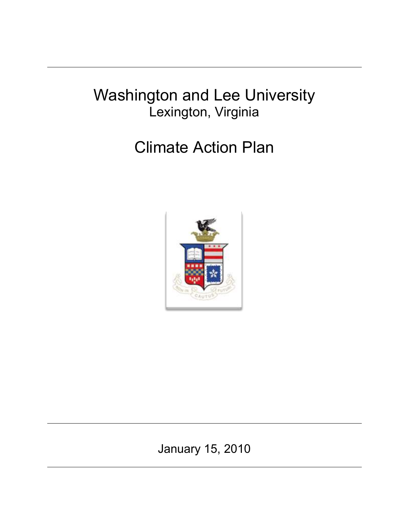# Washington and Lee University Lexington, Virginia

# Climate Action Plan



January 15, 2010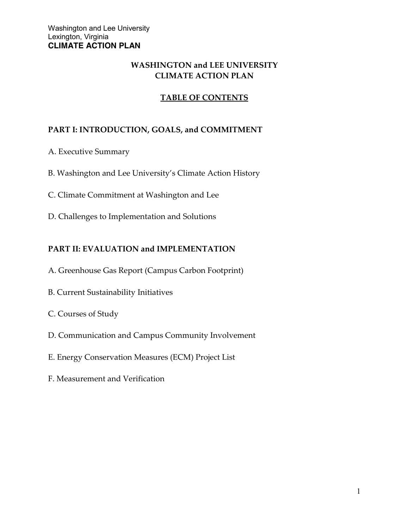## **WASHINGTON and LEE UNIVERSITY CLIMATE ACTION PLAN**

# **TABLE OF CONTENTS**

## **PART I: INTRODUCTION, GOALS, and COMMITMENT**

- A. Executive Summary
- B. Washington and Lee University's Climate Action History
- C. Climate Commitment at Washington and Lee
- D. Challenges to Implementation and Solutions

#### **PART II: EVALUATION and IMPLEMENTATION**

- A. Greenhouse Gas Report (Campus Carbon Footprint)
- B. Current Sustainability Initiatives
- C. Courses of Study
- D. Communication and Campus Community Involvement
- E. Energy Conservation Measures (ECM) Project List
- F. Measurement and Verification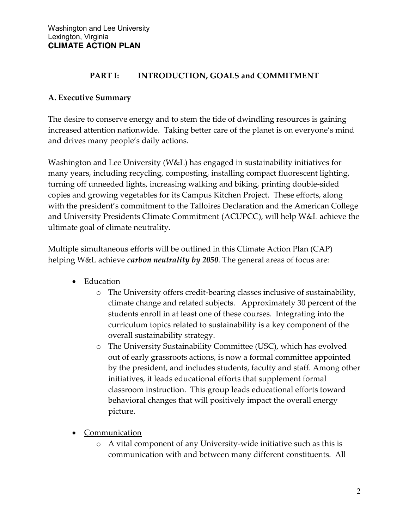#### **PART I: INTRODUCTION, GOALS and COMMITMENT**

## **A. Executive Summary**

The desire to conserve energy and to stem the tide of dwindling resources is gaining increased attention nationwide. Taking better care of the planet is on everyone's mind and drives many people's daily actions.

Washington and Lee University (W&L) has engaged in sustainability initiatives for many years, including recycling, composting, installing compact fluorescent lighting, turning off unneeded lights, increasing walking and biking, printing double-sided copies and growing vegetables for its Campus Kitchen Project. These efforts, along with the president's commitment to the Talloires Declaration and the American College and University Presidents Climate Commitment (ACUPCC), will help W&L achieve the ultimate goal of climate neutrality.

Multiple simultaneous efforts will be outlined in this Climate Action Plan (CAP) helping W&L achieve *carbon neutrality by 2050*. The general areas of focus are:

- Education
	- o The University offers credit-bearing classes inclusive of sustainability, climate change and related subjects. Approximately 30 percent of the students enroll in at least one of these courses. Integrating into the curriculum topics related to sustainability is a key component of the overall sustainability strategy.
	- o The University Sustainability Committee (USC), which has evolved out of early grassroots actions, is now a formal committee appointed by the president, and includes students, faculty and staff. Among other initiatives, it leads educational efforts that supplement formal classroom instruction. This group leads educational efforts toward behavioral changes that will positively impact the overall energy picture.
- Communication
	- o A vital component of any University-wide initiative such as this is communication with and between many different constituents. All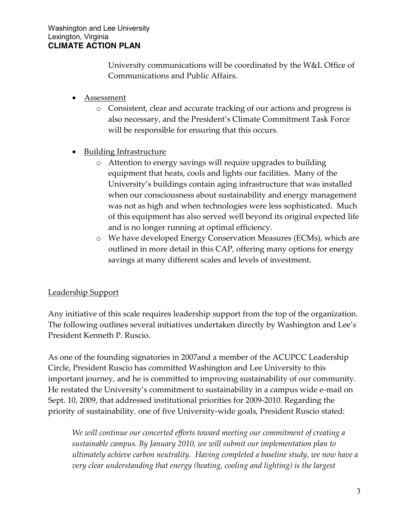University communications will be coordinated by the W&L Office of Communications and Public Affairs.

- Assessment
	- o Consistent, clear and accurate tracking of our actions and progress is also necessary, and the President's Climate Commitment Task Force will be responsible for ensuring that this occurs.
- Building Infrastructure
	- o Attention to energy savings will require upgrades to building equipment that heats, cools and lights our facilities. Many of the University's buildings contain aging infrastructure that was installed when our consciousness about sustainability and energy management was not as high and when technologies were less sophisticated. Much of this equipment has also served well beyond its original expected life and is no longer running at optimal efficiency.
	- o We have developed Energy Conservation Measures (ECMs), which are outlined in more detail in this CAP, offering many options for energy savings at many different scales and levels of investment.

#### Leadership Support

Any initiative of this scale requires leadership support from the top of the organization. The following outlines several initiatives undertaken directly by Washington and Lee's President Kenneth P. Ruscio.

As one of the founding signatories in 2007and a member of the ACUPCC Leadership Circle, President Ruscio has committed Washington and Lee University to this important journey, and he is committed to improving sustainability of our community. He restated the University's commitment to sustainability in a campus wide e-mail on Sept. 10, 2009, that addressed institutional priorities for 2009-2010. Regarding the priority of sustainability*,* one of five University-wide goals, President Ruscio stated:

*We will continue our concerted efforts toward meeting our commitment of creating a sustainable campus. By January 2010, we will submit our implementation plan to ultimately achieve carbon neutrality. Having completed a baseline study, we now have a very clear understanding that energy (heating, cooling and lighting) is the largest*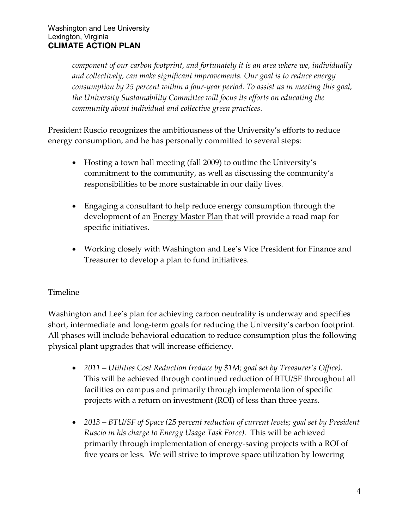*component of our carbon footprint, and fortunately it is an area where we, individually and collectively, can make significant improvements. Our goal is to reduce energy consumption by 25 percent within a four-year period. To assist us in meeting this goal, the University Sustainability Committee will focus its efforts on educating the community about individual and collective green practices.*

President Ruscio recognizes the ambitiousness of the University's efforts to reduce energy consumption, and he has personally committed to several steps:

- Hosting a town hall meeting (fall 2009) to outline the University's commitment to the community, as well as discussing the community's responsibilities to be more sustainable in our daily lives.
- Engaging a consultant to help reduce energy consumption through the development of an **Energy Master Plan** that will provide a road map for specific initiatives.
- Working closely with Washington and Lee's Vice President for Finance and Treasurer to develop a plan to fund initiatives.

# **Timeline**

Washington and Lee's plan for achieving carbon neutrality is underway and specifies short, intermediate and long-term goals for reducing the University's carbon footprint. All phases will include behavioral education to reduce consumption plus the following physical plant upgrades that will increase efficiency.

- *2011 – Utilities Cost Reduction (reduce by \$1M; goal set by Treasurer's Office).*  This will be achieved through continued reduction of BTU/SF throughout all facilities on campus and primarily through implementation of specific projects with a return on investment (ROI) of less than three years.
- *2013 – BTU/SF of Space (25 percent reduction of current levels; goal set by President Ruscio in his charge to Energy Usage Task Force).* This will be achieved primarily through implementation of energy-saving projects with a ROI of five years or less. We will strive to improve space utilization by lowering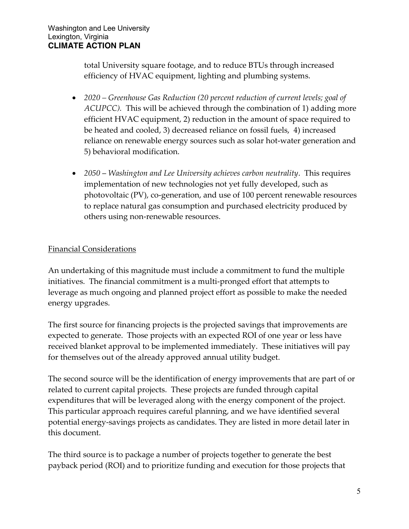total University square footage, and to reduce BTUs through increased efficiency of HVAC equipment, lighting and plumbing systems.

- *2020 – Greenhouse Gas Reduction (20 percent reduction of current levels; goal of ACUPCC).* This will be achieved through the combination of 1) adding more efficient HVAC equipment, 2) reduction in the amount of space required to be heated and cooled, 3) decreased reliance on fossil fuels, 4) increased reliance on renewable energy sources such as solar hot-water generation and 5) behavioral modification.
- *2050 Washington and Lee University achieves carbon neutrality*. This requires implementation of new technologies not yet fully developed, such as photovoltaic (PV), co-generation, and use of 100 percent renewable resources to replace natural gas consumption and purchased electricity produced by others using non-renewable resources.

## Financial Considerations

An undertaking of this magnitude must include a commitment to fund the multiple initiatives. The financial commitment is a multi-pronged effort that attempts to leverage as much ongoing and planned project effort as possible to make the needed energy upgrades.

The first source for financing projects is the projected savings that improvements are expected to generate. Those projects with an expected ROI of one year or less have received blanket approval to be implemented immediately. These initiatives will pay for themselves out of the already approved annual utility budget.

The second source will be the identification of energy improvements that are part of or related to current capital projects. These projects are funded through capital expenditures that will be leveraged along with the energy component of the project. This particular approach requires careful planning, and we have identified several potential energy-savings projects as candidates. They are listed in more detail later in this document.

The third source is to package a number of projects together to generate the best payback period (ROI) and to prioritize funding and execution for those projects that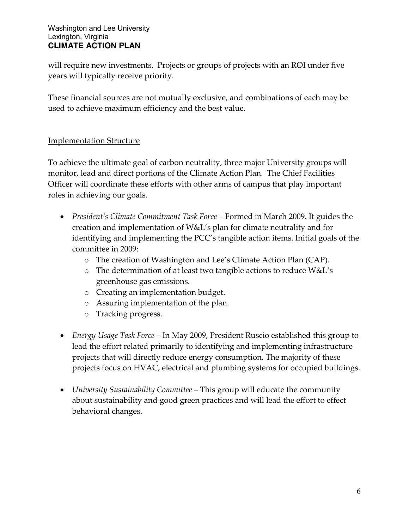will require new investments. Projects or groups of projects with an ROI under five years will typically receive priority.

These financial sources are not mutually exclusive, and combinations of each may be used to achieve maximum efficiency and the best value.

#### Implementation Structure

To achieve the ultimate goal of carbon neutrality, three major University groups will monitor, lead and direct portions of the Climate Action Plan. The Chief Facilities Officer will coordinate these efforts with other arms of campus that play important roles in achieving our goals.

- *President's Climate Commitment Task Force* Formed in March 2009. It guides the creation and implementation of W&L's plan for climate neutrality and for identifying and implementing the PCC's tangible action items. Initial goals of the committee in 2009:
	- o The creation of Washington and Lee's Climate Action Plan (CAP).
	- o The determination of at least two tangible actions to reduce W&L's greenhouse gas emissions.
	- o Creating an implementation budget.
	- o Assuring implementation of the plan.
	- o Tracking progress.
- *Energy Usage Task Force* In May 2009, President Ruscio established this group to lead the effort related primarily to identifying and implementing infrastructure projects that will directly reduce energy consumption. The majority of these projects focus on HVAC, electrical and plumbing systems for occupied buildings.
- *University Sustainability Committee* This group will educate the community about sustainability and good green practices and will lead the effort to effect behavioral changes.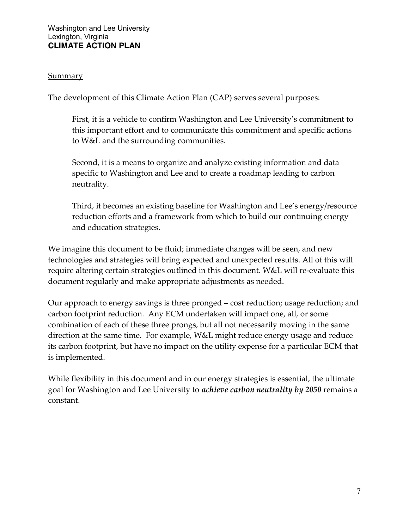#### **Summary**

The development of this Climate Action Plan (CAP) serves several purposes:

First, it is a vehicle to confirm Washington and Lee University's commitment to this important effort and to communicate this commitment and specific actions to W&L and the surrounding communities.

Second, it is a means to organize and analyze existing information and data specific to Washington and Lee and to create a roadmap leading to carbon neutrality.

Third, it becomes an existing baseline for Washington and Lee's energy/resource reduction efforts and a framework from which to build our continuing energy and education strategies.

We imagine this document to be fluid; immediate changes will be seen, and new technologies and strategies will bring expected and unexpected results. All of this will require altering certain strategies outlined in this document. W&L will re-evaluate this document regularly and make appropriate adjustments as needed.

Our approach to energy savings is three pronged – cost reduction; usage reduction; and carbon footprint reduction. Any ECM undertaken will impact one, all, or some combination of each of these three prongs, but all not necessarily moving in the same direction at the same time. For example, W&L might reduce energy usage and reduce its carbon footprint, but have no impact on the utility expense for a particular ECM that is implemented.

While flexibility in this document and in our energy strategies is essential, the ultimate goal for Washington and Lee University to *achieve carbon neutrality by 2050* remains a constant.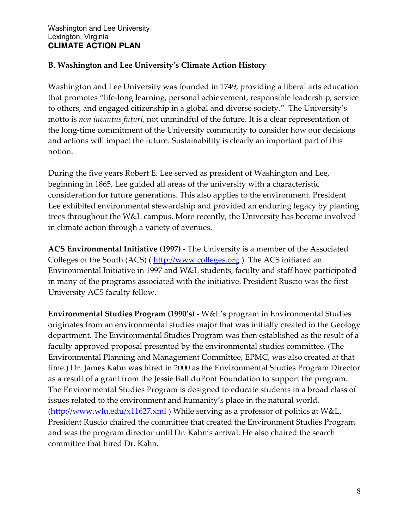# **B. Washington and Lee University's Climate Action History**

Washington and Lee University was founded in 1749, providing a liberal arts education that promotes "life-long learning, personal achievement, responsible leadership, service to others, and engaged citizenship in a global and diverse society." The University's motto is *non incautus futuri*, not unmindful of the future. It is a clear representation of the long-time commitment of the University community to consider how our decisions and actions will impact the future. Sustainability is clearly an important part of this notion.

During the five years Robert E. Lee served as president of Washington and Lee, beginning in 1865, Lee guided all areas of the university with a characteristic consideration for future generations. This also applies to the environment. President Lee exhibited environmental stewardship and provided an enduring legacy by planting trees throughout the W&L campus. More recently, the University has become involved in climate action through a variety of avenues.

**ACS Environmental Initiative (1997)** - The University is a member of the Associated Colleges of the South (ACS) (http://www.colleges.org). The ACS initiated an Environmental Initiative in 1997 and W&L students, faculty and staff have participated in many of the programs associated with the initiative. President Ruscio was the first University ACS faculty fellow.

**Environmental Studies Program (1990's)** - W&L's program in Environmental Studies originates from an environmental studies major that was initially created in the Geology department. The Environmental Studies Program was then established as the result of a faculty approved proposal presented by the environmental studies committee. (The Environmental Planning and Management Committee, EPMC, was also created at that time.) Dr. James Kahn was hired in 2000 as the Environmental Studies Program Director as a result of a grant from the Jessie Ball duPont Foundation to support the program. The Environmental Studies Program is designed to educate students in a broad class of issues related to the environment and humanity's place in the natural world. [\(http://www.wlu.edu/x11627.xml](http://www.wlu.edu/x11627.xml) ) While serving as a professor of politics at W&L, President Ruscio chaired the committee that created the Environment Studies Program and was the program director until Dr. Kahn's arrival. He also chaired the search committee that hired Dr. Kahn.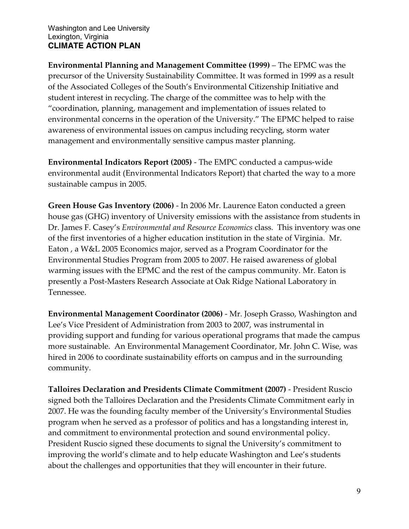**Environmental Planning and Management Committee (1999)** – The EPMC was the precursor of the University Sustainability Committee. It was formed in 1999 as a result of the Associated Colleges of the South's Environmental Citizenship Initiative and student interest in recycling. The charge of the committee was to help with the "coordination, planning, management and implementation of issues related to environmental concerns in the operation of the University." The EPMC helped to raise awareness of environmental issues on campus including recycling, storm water management and environmentally sensitive campus master planning.

**Environmental Indicators Report (2005)** - The EMPC conducted a campus-wide environmental audit (Environmental Indicators Report) that charted the way to a more sustainable campus in 2005.

**Green House Gas Inventory (2006)** - In 2006 Mr. Laurence Eaton conducted a green house gas (GHG) inventory of University emissions with the assistance from students in Dr. James F. Casey's *Environmental and Resource Economics* class. This inventory was one of the first inventories of a higher education institution in the state of Virginia. Mr. Eaton , a W&L 2005 Economics major, served as a Program Coordinator for the Environmental Studies Program from 2005 to 2007. He raised awareness of global warming issues with the EPMC and the rest of the campus community. Mr. Eaton is presently a Post-Masters Research Associate at Oak Ridge National Laboratory in Tennessee.

**Environmental Management Coordinator (2006)** - Mr. Joseph Grasso, Washington and Lee's Vice President of Administration from 2003 to 2007, was instrumental in providing support and funding for various operational programs that made the campus more sustainable. An Environmental Management Coordinator, Mr. John C. Wise, was hired in 2006 to coordinate sustainability efforts on campus and in the surrounding community.

**Talloires Declaration and Presidents Climate Commitment (2007)** - President Ruscio signed both the Talloires Declaration and the Presidents Climate Commitment early in 2007. He was the founding faculty member of the University's Environmental Studies program when he served as a professor of politics and has a longstanding interest in, and commitment to environmental protection and sound environmental policy. President Ruscio signed these documents to signal the University's commitment to improving the world's climate and to help educate Washington and Lee's students about the challenges and opportunities that they will encounter in their future.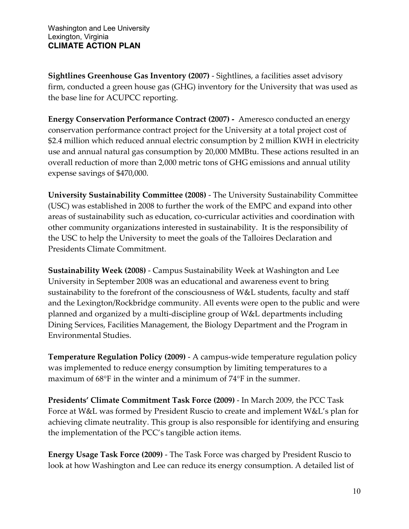**Sightlines Greenhouse Gas Inventory (2007)** - Sightlines, a facilities asset advisory firm, conducted a green house gas (GHG) inventory for the University that was used as the base line for ACUPCC reporting.

**Energy Conservation Performance Contract (2007) -** Ameresco conducted an energy conservation performance contract project for the University at a total project cost of \$2.4 million which reduced annual electric consumption by 2 million KWH in electricity use and annual natural gas consumption by 20,000 MMBtu. These actions resulted in an overall reduction of more than 2,000 metric tons of GHG emissions and annual utility expense savings of \$470,000.

**University Sustainability Committee (2008)** - The University Sustainability Committee (USC) was established in 2008 to further the work of the EMPC and expand into other areas of sustainability such as education, co-curricular activities and coordination with other community organizations interested in sustainability. It is the responsibility of the USC to help the University to meet the goals of the Talloires Declaration and Presidents Climate Commitment.

**Sustainability Week (2008)** - Campus Sustainability Week at Washington and Lee University in September 2008 was an educational and awareness event to bring sustainability to the forefront of the consciousness of W&L students, faculty and staff and the Lexington/Rockbridge community. All events were open to the public and were planned and organized by a multi-discipline group of W&L departments including Dining Services, Facilities Management, the Biology Department and the Program in Environmental Studies.

**Temperature Regulation Policy (2009)** - A campus-wide temperature regulation policy was implemented to reduce energy consumption by limiting temperatures to a maximum of  $68^{\circ}$ F in the winter and a minimum of  $74^{\circ}$ F in the summer.

**Presidents' Climate Commitment Task Force (2009)** - In March 2009, the PCC Task Force at W&L was formed by President Ruscio to create and implement W&L's plan for achieving climate neutrality. This group is also responsible for identifying and ensuring the implementation of the PCC's tangible action items.

**Energy Usage Task Force (2009)** - The Task Force was charged by President Ruscio to look at how Washington and Lee can reduce its energy consumption. A detailed list of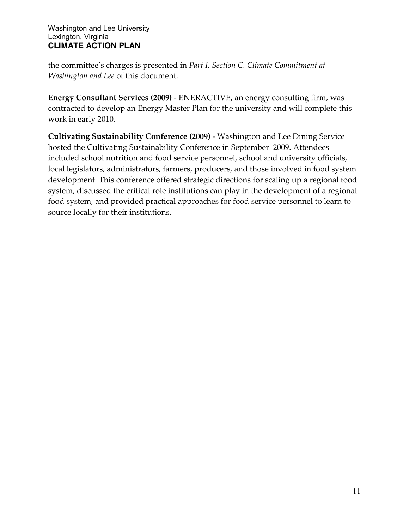the committee's charges is presented in *Part I, Section C. Climate Commitment at Washington and Lee* of this document.

**Energy Consultant Services (2009)** - ENERACTIVE, an energy consulting firm, was contracted to develop an Energy Master Plan for the university and will complete this work in early 2010.

**Cultivating Sustainability Conference (2009)** - Washington and Lee Dining Service hosted the [Cultivating Sustainability Conference](http://wlugreen.files.wordpress.com/2009/09/3foodsystems1.pdf) in September 2009. Attendees included school nutrition and food service personnel, school and university officials, local legislators, administrators, farmers, producers, and those involved in food system development. This conference offered strategic directions for scaling up a regional food system, discussed the critical role institutions can play in the development of a regional food system, and provided practical approaches for food service personnel to learn to source locally for their institutions.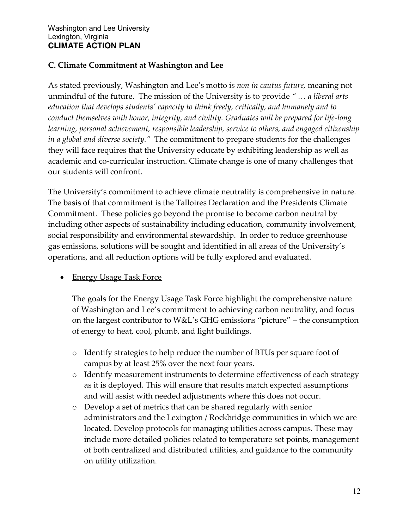#### **C. Climate Commitment at Washington and Lee**

As stated previously, Washington and Lee's motto is *non in cautus future,* meaning not unmindful of the future. The mission of the University is to provide *" … a liberal arts education that develops students' capacity to think freely, critically, and humanely and to conduct themselves with honor, integrity, and civility. Graduates will be prepared for life-long learning, personal achievement, responsible leadership, service to others, and engaged citizenship in a global and diverse society."* The commitment to prepare students for the challenges they will face requires that the University educate by exhibiting leadership as well as academic and co-curricular instruction. Climate change is one of many challenges that our students will confront.

The University's commitment to achieve climate neutrality is comprehensive in nature. The basis of that commitment is the Talloires Declaration and the Presidents Climate Commitment. These policies go beyond the promise to become carbon neutral by including other aspects of sustainability including education, community involvement, social responsibility and environmental stewardship. In order to reduce greenhouse gas emissions, solutions will be sought and identified in all areas of the University's operations, and all reduction options will be fully explored and evaluated.

#### • Energy Usage Task Force

The goals for the Energy Usage Task Force highlight the comprehensive nature of Washington and Lee's commitment to achieving carbon neutrality, and focus on the largest contributor to W&L's GHG emissions "picture" – the consumption of energy to heat, cool, plumb, and light buildings.

- o Identify strategies to help reduce the number of BTUs per square foot of campus by at least 25% over the next four years.
- o Identify measurement instruments to determine effectiveness of each strategy as it is deployed. This will ensure that results match expected assumptions and will assist with needed adjustments where this does not occur.
- o Develop a set of metrics that can be shared regularly with senior administrators and the Lexington / Rockbridge communities in which we are located. Develop protocols for managing utilities across campus. These may include more detailed policies related to temperature set points, management of both centralized and distributed utilities, and guidance to the community on utility utilization.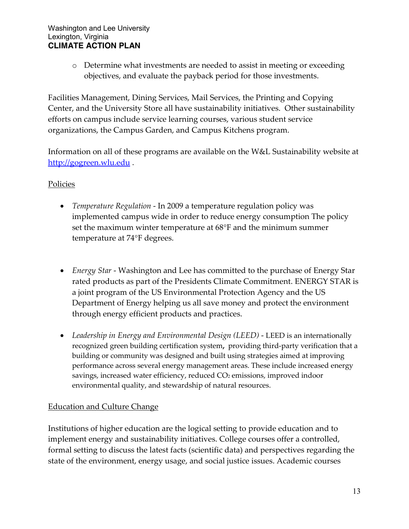o Determine what investments are needed to assist in meeting or exceeding objectives, and evaluate the payback period for those investments.

Facilities Management, Dining Services, Mail Services, the Printing and Copying Center, and the University Store all have sustainability initiatives. Other sustainability efforts on campus include service learning courses, various student service organizations, the Campus Garden, and Campus Kitchens program.

Information on all of these programs are available on the W&L Sustainability website at [http://gogreen.wlu.edu](http://gogreen.wlu.edu/).

## Policies

- *Temperature Regulation* In 2009 a temperature regulation policy was implemented campus wide in order to reduce energy consumption The policy set the maximum winter temperature at  $68^{\circ}$ F and the minimum summer temperature at 74°F degrees.
- *Energy Star* Washington and Lee has committed to the purchase of Energy Star rated products as part of the [Presidents Climate Commitment.](http://www.presidentsclimatecommitment.org/html/commitment.php) ENERGY STAR is a joint program of the US Environmental Protection Agency and the US Department of Energy helping us all save money and protect the environment through energy efficient products and practices.
- *Leadership in Energy and Environmental Design (LEED)* LEED is an internationally recognized green building certification system**,** providing third-party verification that a building or community was designed and built using strategies aimed at improving performance across several energy management areas. These include increased energy savings, increased water efficiency, reduced CO<sub>2</sub> emissions, improved indoor environmental quality, and stewardship of natural resources.

# Education and Culture Change

Institutions of higher education are the logical setting to provide education and to implement energy and sustainability initiatives. College courses offer a controlled, formal setting to discuss the latest facts (scientific data) and perspectives regarding the state of the environment, energy usage, and social justice issues. Academic courses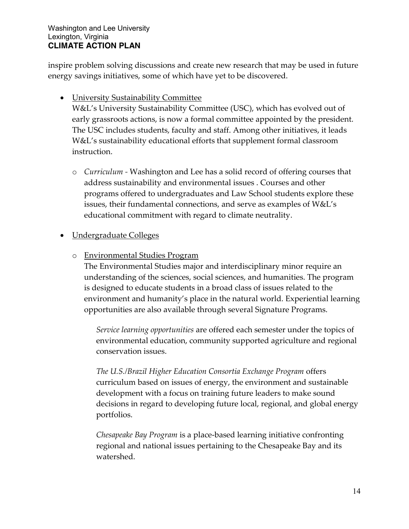inspire problem solving discussions and create new research that may be used in future energy savings initiatives, some of which have yet to be discovered.

University Sustainability Committee

W&L's University Sustainability Committee (USC), which has evolved out of early grassroots actions, is now a formal committee appointed by the president. The USC includes students, faculty and staff. Among other initiatives, it leads W&L's sustainability educational efforts that supplement formal classroom instruction.

o *Curriculum -* Washington and Lee has a solid record of offering courses that address sustainability and environmental issues . Courses and other programs offered to undergraduates and Law School students explore these issues, their fundamental connections, and serve as examples of W&L's educational commitment with regard to climate neutrality.

# Undergraduate Colleges

## o Environmental Studies Program

The Environmental Studies [major](http://www.wlu.edu/x17984.xml) and interdisciplinary [minor](http://registrar.wlu.edu/catalogs/current/EnvironStudies.pdf) require an understanding of the sciences, social sciences, and humanities. The program is designed to educate students in a broad class of issues related to the environment and humanity's place in the natural world. Experiential learning opportunities are also available through several Signature Programs.

*Service learning opportunities* are offered each semester under the topics of environmental education, community supported agriculture and regional conservation issues.

*The U.S./Brazil Higher Education Consortia Exchange Program* offers curriculum based on issues of energy, the environment and sustainable development with a focus on training future leaders to make sound decisions in regard to developing future local, regional, and global energy portfolios.

*Chesapeake Bay Program* is a place-based learning initiative confronting regional and national issues pertaining to the Chesapeake Bay and its watershed.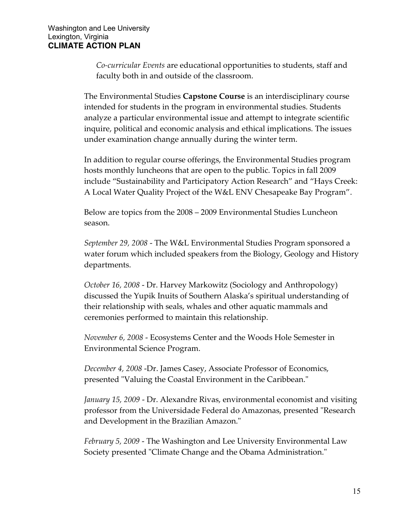*Co-curricular Events* are educational opportunities to students, staff and faculty both in and outside of the classroom.

The Environmental Studies **Capstone Course** is an interdisciplinary course intended for students in the program in environmental studies. Students analyze a particular environmental issue and attempt to integrate scientific inquire, political and economic analysis and ethical implications. The issues under examination change annually during the winter term.

In addition to regular course offerings, the Environmental Studies program hosts monthly luncheons that are open to the public. Topics in fall 2009 include "Sustainability and Participatory Action Research" and "Hays Creek: A Local Water Quality Project of the W&L ENV Chesapeake Bay Program".

Below are topics from the 2008 – 2009 Environmental Studies Luncheon season.

*September 29, 2008* - The W&L Environmental Studies Program sponsored a water forum which included speakers from the Biology, Geology and History departments.

*October 16, 2008* - Dr. Harvey Markowitz (Sociology and Anthropology) discussed the Yupik Inuits of Southern Alaska's spiritual understanding of their relationship with seals, whales and other aquatic mammals and ceremonies performed to maintain this relationship.

*November 6, 2008* - Ecosystems Center and the Woods Hole Semester in Environmental Science Program.

*December 4, 2008* -Dr. James Casey, Associate Professor of Economics, presented "Valuing the Coastal Environment in the Caribbean."

*January 15, 2009* - Dr. Alexandre Rivas, environmental economist and visiting professor from the Universidade Federal do Amazonas, presented "Research and Development in the Brazilian Amazon."

*February 5, 2009* - The Washington and Lee University Environmental Law Society presented "Climate Change and the Obama Administration."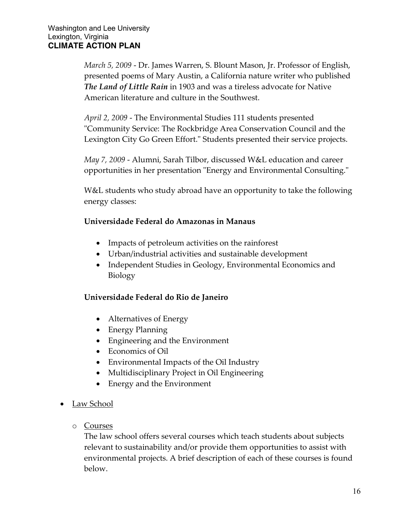*March 5, 2009* - Dr. James Warren, S. Blount Mason, Jr. Professor of English, presented poems of Mary Austin, a California nature writer who published *The Land of Little Rain* in 1903 and was a tireless advocate for Native American literature and culture in the Southwest.

*April 2, 2009* - The Environmental Studies 111 students presented "Community Service: The Rockbridge Area Conservation Council and the Lexington City Go Green Effort." Students presented their service projects.

*May 7, 2009* - Alumni, Sarah Tilbor, discussed W&L education and career opportunities in her presentation "Energy and Environmental Consulting."

W&L students who study abroad have an opportunity to take the following energy classes:

#### **Universidade Federal do Amazonas in Manaus**

- Impacts of petroleum activities on the rainforest
- Urban/industrial activities and sustainable development
- Independent Studies in Geology, Environmental Economics and Biology

#### **Universidade Federal do Rio de Janeiro**

- Alternatives of Energy
- Energy Planning
- Engineering and the Environment
- Economics of Oil
- Environmental Impacts of the Oil Industry
- Multidisciplinary Project in Oil Engineering
- Energy and the Environment
- Law School
	- o Courses

The law school offers several courses which teach students about subjects relevant to sustainability and/or provide them opportunities to assist with environmental projects. A brief description of each of these courses is found below.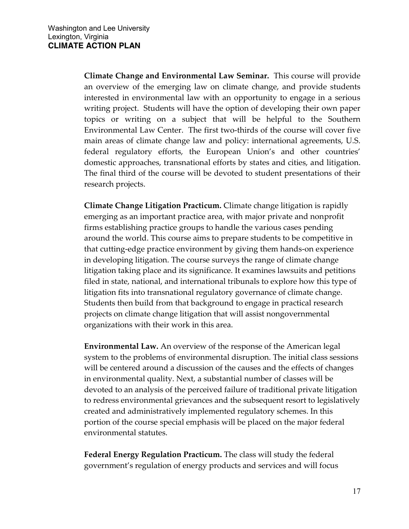**Climate Change and Environmental Law Seminar.** This course will provide an overview of the emerging law on climate change, and provide students interested in environmental law with an opportunity to engage in a serious writing project. Students will have the option of developing their own paper topics or writing on a subject that will be helpful to the Southern Environmental Law Center. The first two-thirds of the course will cover five main areas of climate change law and policy: international agreements, U.S. federal regulatory efforts, the European Union's and other countries' domestic approaches, transnational efforts by states and cities, and litigation. The final third of the course will be devoted to student presentations of their research projects.

**Climate Change Litigation Practicum.** Climate change litigation is rapidly emerging as an important practice area, with major private and nonprofit firms establishing practice groups to handle the various cases pending around the world. This course aims to prepare students to be competitive in that cutting-edge practice environment by giving them hands-on experience in developing litigation. The course surveys the range of climate change litigation taking place and its significance. It examines lawsuits and petitions filed in state, national, and international tribunals to explore how this type of litigation fits into transnational regulatory governance of climate change. Students then build from that background to engage in practical research projects on climate change litigation that will assist nongovernmental organizations with their work in this area.

**Environmental Law.** An overview of the response of the American legal system to the problems of environmental disruption. The initial class sessions will be centered around a discussion of the causes and the effects of changes in environmental quality. Next, a substantial number of classes will be devoted to an analysis of the perceived failure of traditional private litigation to redress environmental grievances and the subsequent resort to legislatively created and administratively implemented regulatory schemes. In this portion of the course special emphasis will be placed on the major federal environmental statutes.

**Federal Energy Regulation Practicum.** The class will study the federal government's regulation of energy products and services and will focus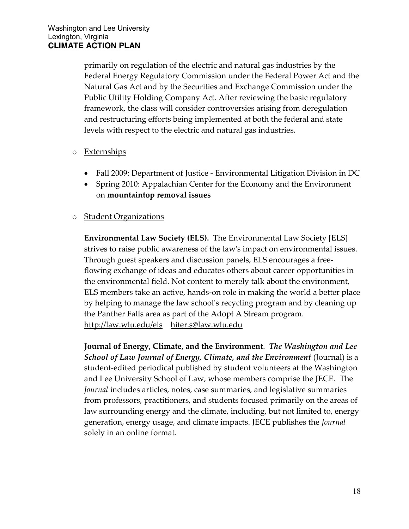primarily on regulation of the electric and natural gas industries by the Federal Energy Regulatory Commission under the Federal Power Act and the Natural Gas Act and by the Securities and Exchange Commission under the Public Utility Holding Company Act. After reviewing the basic regulatory framework, the class will consider controversies arising from deregulation and restructuring efforts being implemented at both the federal and state levels with respect to the electric and natural gas industries.

#### o Externships

- Fall 2009: Department of Justice Environmental Litigation Division in DC
- Spring 2010: Appalachian Center for the Economy and the Environment on **mountaintop removal issues**

## o Student Organizations

**Environmental Law Society (ELS).** The Environmental Law Society [ELS] strives to raise public awareness of the law's impact on environmental issues. Through guest speakers and discussion panels, ELS encourages a freeflowing exchange of ideas and educates others about career opportunities in the environmental field. Not content to merely talk about the environment, ELS members take an active, hands-on role in making the world a better place by helping to manage the law school's recycling program and by cleaning up the Panther Falls area as part of the Adopt A Stream program. <http://law.wlu.edu/els>[hiter.s@law.wlu.edu](mailto:)

**[Journal of Energy, Climate, and the Environment](http://law.wlu.edu/jece/)**. *The Washington and Lee School of Law Journal of Energy, Climate, and the Environment* (Journal) is a student-edited periodical published by student volunteers at the Washington and Lee University School of Law, whose members comprise the JECE. The *Journal* includes articles, notes, case summaries, and legislative summaries from professors, practitioners, and students focused primarily on the areas of law surrounding energy and the climate, including, but not limited to, energy generation, energy usage, and climate impacts. JECE publishes the *Journal* solely in an online format.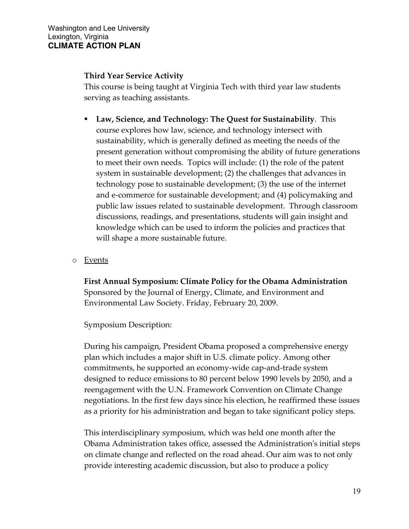#### **Third Year Service Activity**

This course is being taught at Virginia Tech with third year law students serving as teaching assistants.

- **Law, Science, and Technology: The Quest for Sustainability**. This course explores how law, science, and technology intersect with sustainability, which is generally defined as meeting the needs of the present generation without compromising the ability of future generations to meet their own needs. Topics will include: (1) the role of the patent system in sustainable development; (2) the challenges that advances in technology pose to sustainable development; (3) the use of the internet and e-commerce for sustainable development; and (4) policymaking and public law issues related to sustainable development. Through classroom discussions, readings, and presentations, students will gain insight and knowledge which can be used to inform the policies and practices that will shape a more sustainable future.
- o Events

**First Annual Symposium: Climate Policy for the Obama Administration** Sponsored by the Journal of Energy, Climate, and Environment and Environmental Law Society. Friday, February 20, 2009.

Symposium Description:

During his campaign, President Obama proposed a comprehensive energy plan which includes a major shift in U.S. climate policy. Among other commitments, he supported an economy-wide cap-and-trade system designed to reduce emissions to 80 percent below 1990 levels by 2050, and a reengagement with the U.N. Framework Convention on Climate Change negotiations. In the first few days since his election, he reaffirmed these issues as a priority for his administration and began to take significant policy steps.

This interdisciplinary symposium, which was held one month after the Obama Administration takes office, assessed the Administration's initial steps on climate change and reflected on the road ahead. Our aim was to not only provide interesting academic discussion, but also to produce a policy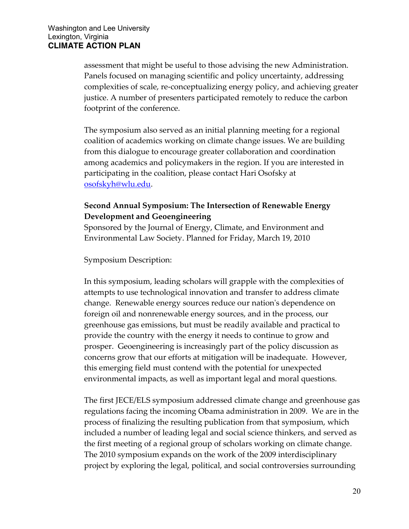assessment that might be useful to those advising the new Administration. Panels focused on managing scientific and policy uncertainty, addressing complexities of scale, re-conceptualizing energy policy, and achieving greater justice. A number of presenters participated remotely to reduce the carbon footprint of the conference.

The symposium also served as an initial planning meeting for a regional coalition of academics working on climate change issues. We are building from this dialogue to encourage greater collaboration and coordination among academics and policymakers in the region. If you are interested in participating in the coalition, please contact Hari Osofsky at [osofskyh@wlu.edu.](mailto:osofskyh@wlu.edu)

## **Second Annual Symposium: The Intersection of Renewable Energy Development and Geoengineering**

Sponsored by the Journal of Energy, Climate, and Environment and Environmental Law Society. Planned for Friday, March 19, 2010

Symposium Description:

In this symposium, leading scholars will grapple with the complexities of attempts to use technological innovation and transfer to address climate change. Renewable energy sources reduce our nation's dependence on foreign oil and nonrenewable energy sources, and in the process, our greenhouse gas emissions, but must be readily available and practical to provide the country with the energy it needs to continue to grow and prosper. Geoengineering is increasingly part of the policy discussion as concerns grow that our efforts at mitigation will be inadequate. However, this emerging field must contend with the potential for unexpected environmental impacts, as well as important legal and moral questions.

The first JECE/ELS symposium addressed climate change and greenhouse gas regulations facing the incoming Obama administration in 2009. We are in the process of finalizing the resulting publication from that symposium, which included a number of leading legal and social science thinkers, and served as the first meeting of a regional group of scholars working on climate change. The 2010 symposium expands on the work of the 2009 interdisciplinary project by exploring the legal, political, and social controversies surrounding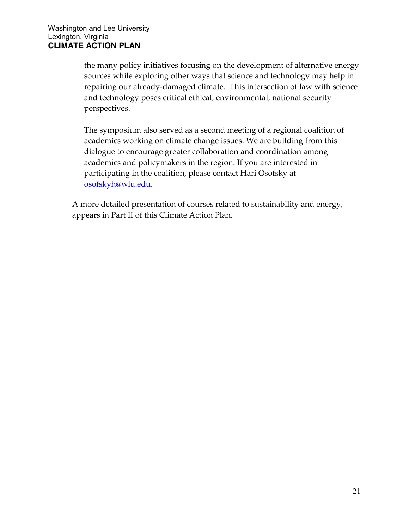the many policy initiatives focusing on the development of alternative energy sources while exploring other ways that science and technology may help in repairing our already-damaged climate. This intersection of law with science and technology poses critical ethical, environmental, national security perspectives.

The symposium also served as a second meeting of a regional coalition of academics working on climate change issues. We are building from this dialogue to encourage greater collaboration and coordination among academics and policymakers in the region. If you are interested in participating in the coalition, please contact Hari Osofsky at [osofskyh@wlu.edu.](mailto:osofskyh@wlu.edu)

A more detailed presentation of courses related to sustainability and energy, appears in Part II of this Climate Action Plan.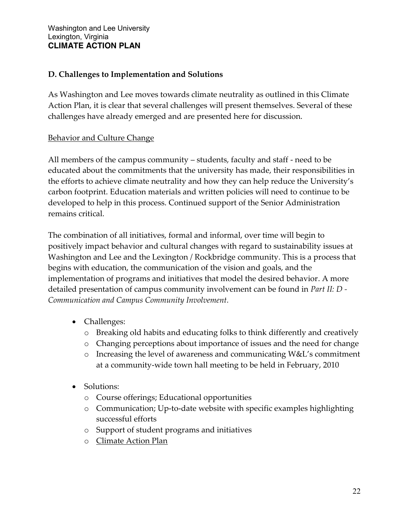## **D. Challenges to Implementation and Solutions**

As Washington and Lee moves towards climate neutrality as outlined in this Climate Action Plan, it is clear that several challenges will present themselves. Several of these challenges have already emerged and are presented here for discussion.

## **Behavior and Culture Change**

All members of the campus community – students, faculty and staff - need to be educated about the commitments that the university has made, their responsibilities in the efforts to achieve climate neutrality and how they can help reduce the University's carbon footprint. Education materials and written policies will need to continue to be developed to help in this process. Continued support of the Senior Administration remains critical.

The combination of all initiatives, formal and informal, over time will begin to positively impact behavior and cultural changes with regard to sustainability issues at Washington and Lee and the Lexington / Rockbridge community. This is a process that begins with education, the communication of the vision and goals, and the implementation of programs and initiatives that model the desired behavior. A more detailed presentation of campus community involvement can be found in *Part II: D - Communication and Campus Community Involvement.*

- Challenges:
	- o Breaking old habits and educating folks to think differently and creatively
	- o Changing perceptions about importance of issues and the need for change
	- o Increasing the level of awareness and communicating W&L's commitment at a community-wide town hall meeting to be held in February, 2010
- Solutions:
	- o Course offerings; Educational opportunities
	- o Communication; Up-to-date website with specific examples highlighting successful efforts
	- o Support of student programs and initiatives
	- o Climate Action Plan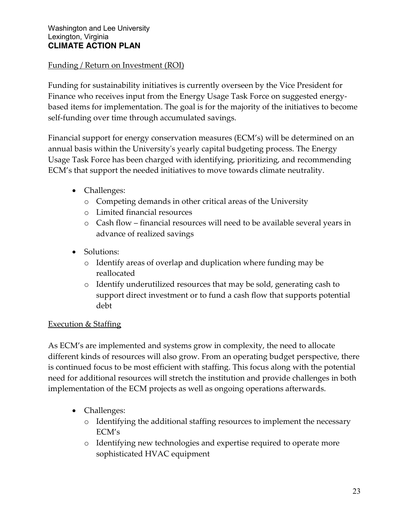## Funding / Return on Investment (ROI)

Funding for sustainability initiatives is currently overseen by the Vice President for Finance who receives input from the Energy Usage Task Force on suggested energybased items for implementation. The goal is for the majority of the initiatives to become self-funding over time through accumulated savings.

Financial support for energy conservation measures (ECM's) will be determined on an annual basis within the University's yearly capital budgeting process. The Energy Usage Task Force has been charged with identifying, prioritizing, and recommending ECM's that support the needed initiatives to move towards climate neutrality.

- Challenges:
	- o Competing demands in other critical areas of the University
	- o Limited financial resources
	- o Cash flow financial resources will need to be available several years in advance of realized savings
- Solutions:
	- o Identify areas of overlap and duplication where funding may be reallocated
	- o Identify underutilized resources that may be sold, generating cash to support direct investment or to fund a cash flow that supports potential debt

#### Execution & Staffing

As ECM's are implemented and systems grow in complexity, the need to allocate different kinds of resources will also grow. From an operating budget perspective, there is continued focus to be most efficient with staffing. This focus along with the potential need for additional resources will stretch the institution and provide challenges in both implementation of the ECM projects as well as ongoing operations afterwards.

- Challenges:
	- o Identifying the additional staffing resources to implement the necessary ECM's
	- o Identifying new technologies and expertise required to operate more sophisticated HVAC equipment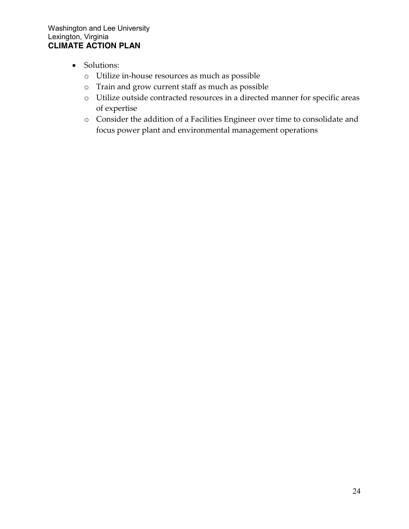- Solutions:
	- o Utilize in-house resources as much as possible
	- o Train and grow current staff as much as possible
	- o Utilize outside contracted resources in a directed manner for specific areas of expertise
	- o Consider the addition of a Facilities Engineer over time to consolidate and focus power plant and environmental management operations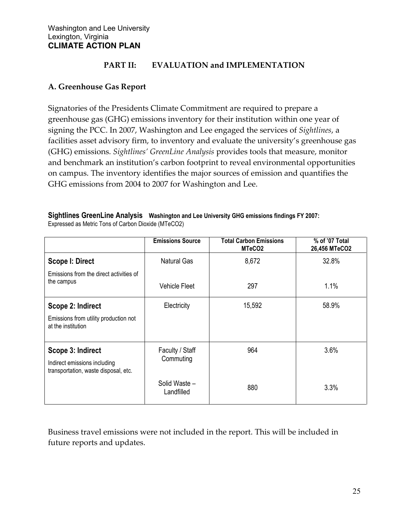#### **PART II: EVALUATION and IMPLEMENTATION**

#### **A. Greenhouse Gas Report**

Signatories of the Presidents Climate Commitment are required to prepare a greenhouse gas (GHG) emissions inventory for their institution within one year of signing the PCC. In 2007, Washington and Lee engaged the services of *Sightlines*, a facilities asset advisory firm, to inventory and evaluate the university's greenhouse gas (GHG) emissions. *Sightlines' GreenLine Analysis* provides tools that measure, monitor and benchmark an institution's carbon footprint to reveal environmental opportunities on campus. The inventory identifies the major sources of emission and quantifies the GHG emissions from 2004 to 2007 for Washington and Lee.

|                                                                      | <b>Emissions Source</b>     | <b>Total Carbon Emissions</b><br>MTeCO <sub>2</sub> | % of '07 Total<br>26,456 MTeCO2 |  |
|----------------------------------------------------------------------|-----------------------------|-----------------------------------------------------|---------------------------------|--|
| <b>Scope I: Direct</b>                                               | <b>Natural Gas</b>          | 8,672                                               | 32.8%                           |  |
| Emissions from the direct activities of<br>the campus                | <b>Vehicle Fleet</b>        | 297                                                 | 1.1%                            |  |
| Scope 2: Indirect                                                    | Electricity                 | 15,592                                              | 58.9%                           |  |
| Emissions from utility production not<br>at the institution          |                             |                                                     |                                 |  |
| Scope 3: Indirect                                                    | Faculty / Staff             | 964                                                 | 3.6%                            |  |
| Indirect emissions including<br>transportation, waste disposal, etc. | Commuting                   |                                                     |                                 |  |
|                                                                      | Solid Waste -<br>Landfilled | 880                                                 | 3.3%                            |  |

**Sightlines GreenLine Analysis Washington and Lee University GHG emissions findings FY 2007:** Expressed as Metric Tons of Carbon Dioxide (MTeCO2)

Business travel emissions were not included in the report. This will be included in future reports and updates.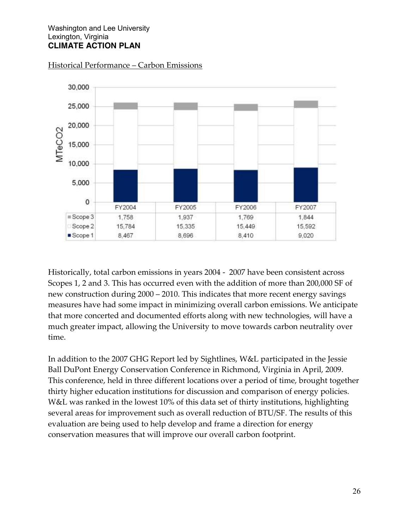

#### Historical Performance – Carbon Emissions

Historically, total carbon emissions in years 2004 - 2007 have been consistent across Scopes 1, 2 and 3. This has occurred even with the addition of more than 200,000 SF of new construction during 2000 – 2010. This indicates that more recent energy savings measures have had some impact in minimizing overall carbon emissions. We anticipate that more concerted and documented efforts along with new technologies, will have a much greater impact, allowing the University to move towards carbon neutrality over time.

In addition to the 2007 GHG Report led by Sightlines, W&L participated in the Jessie Ball DuPont Energy Conservation Conference in Richmond, Virginia in April, 2009. This conference, held in three different locations over a period of time, brought together thirty higher education institutions for discussion and comparison of energy policies. W&L was ranked in the lowest 10% of this data set of thirty institutions, highlighting several areas for improvement such as overall reduction of BTU/SF. The results of this evaluation are being used to help develop and frame a direction for energy conservation measures that will improve our overall carbon footprint.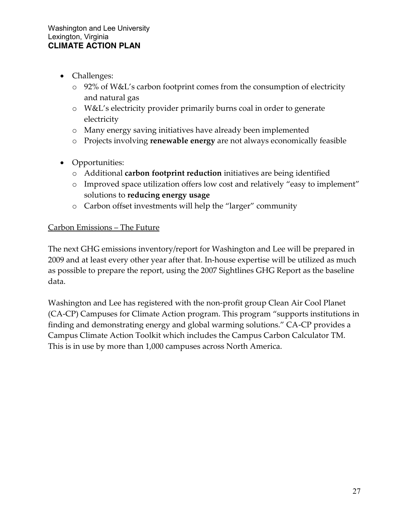- Challenges:
	- o 92% of W&L's carbon footprint comes from the consumption of electricity and natural gas
	- o W&L's electricity provider primarily burns coal in order to generate electricity
	- o Many energy saving initiatives have already been implemented
	- o Projects involving **renewable energy** are not always economically feasible
- Opportunities:
	- o Additional **carbon footprint reduction** initiatives are being identified
	- o Improved space utilization offers low cost and relatively "easy to implement" solutions to **reducing energy usage**
	- o Carbon offset investments will help the "larger" community

#### Carbon Emissions – The Future

The next GHG emissions inventory/report for Washington and Lee will be prepared in 2009 and at least every other year after that. In-house expertise will be utilized as much as possible to prepare the report, using the 2007 Sightlines GHG Report as the baseline data.

Washington and Lee has registered with the non-profit group Clean Air Cool Planet (CA-CP) Campuses for Climate Action program. This program "supports institutions in finding and demonstrating energy and global warming solutions." CA-CP provides a Campus Climate Action Toolkit which includes the Campus Carbon Calculator TM. This is in use by more than 1,000 campuses across North America.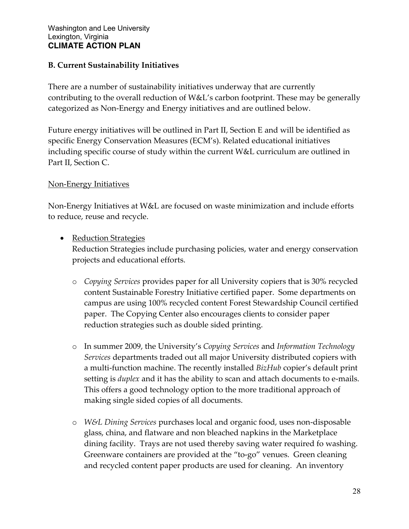## **B. Current Sustainability Initiatives**

There are a number of sustainability initiatives underway that are currently contributing to the overall reduction of W&L's carbon footprint. These may be generally categorized as Non-Energy and Energy initiatives and are outlined below.

Future energy initiatives will be outlined in Part II, Section E and will be identified as specific Energy Conservation Measures (ECM's). Related educational initiatives including specific course of study within the current W&L curriculum are outlined in Part II, Section C.

#### Non-Energy Initiatives

Non-Energy Initiatives at W&L are focused on waste minimization and include efforts to reduce, reuse and recycle.

• Reduction Strategies

Reduction Strategies include purchasing policies, water and energy conservation projects and educational efforts.

- o *[Copying Services](http://www.wlu.edu/x22891.xml)* provides paper for all University copiers that is 30% recycled content Sustainable Forestry Initiative certified paper. Some departments on campus are using 100% recycled content Forest Stewardship Council certified paper. The Copying Center also encourages clients to consider paper reduction strategies such as double sided printing.
- o In summer 2009, the University's *Copying Services* and *Information Technology Services* departments traded out all major University distributed copiers with a multi-function machine. The [recently installed](http://www.wlu.edu/x34687.xml) *BizHub* copier's default print setting is *duplex* and it has the ability to scan and attach documents to e-mails. This offers a good technology option to the more traditional approach of making single sided copies of all documents.
- o *[W&L Dining Services](http://www.wlu.edu/x21422.xml)* purchases local and organic food, uses non-disposable glass, china, and flatware and non bleached napkins in the Marketplace dining facility. Trays are not used thereby saving water required fo washing. Greenware containers are provided at the "to-go" venues. Green cleaning and recycled content paper products are used for cleaning. An inventory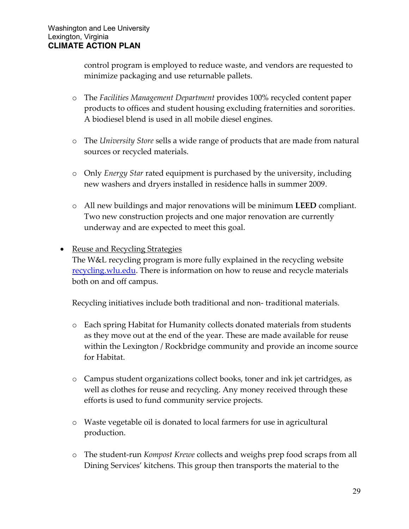control program is employed to reduce waste, and vendors are requested to minimize packaging and use returnable pallets.

- o The *[Facilities Management Department](http://www.wlu.edu/x21423.xml)* provides 100% recycled content paper products to offices and student housing excluding fraternities and sororities. A biodiesel blend is used in all mobile diesel engines.
- o The *[University Store](http://www.wlu.edu/x21421.xml)* sells a wide range of products that are made from natural sources or recycled materials.
- o Only *[Energy Star](http://www.energystar.gov/index.cfm?fuseaction=find_a_product.)* rated equipment is purchased by the university, including new washers and dryers installed in residence halls in summer 2009.
- o All new buildings and major renovations will be minimum **[LEED](http://www.usgbc.org/DisplayPage.aspx?CMSPageID=222)** compliant. Two new construction projects and one major renovation are currently underway and are expected to meet this goal.

## • Reuse and Recycling Strategies

The W&L recycling program is more fully explained in the recycling website <u>recycling.wlu.edu</u>. There is information on how to reuse and recycle materials both on and off campus.

Recycling initiatives include both traditional and non- traditional materials.

- o Each spring Habitat for Humanity collects donated materials from students as they move out at the end of the year. These are made available for reuse within the Lexington / Rockbridge community and provide an income source for Habitat.
- o Campus student organizations collect books, toner and ink jet cartridges, as well as clothes for reuse and recycling. Any money received through these efforts is used to fund community service projects.
- o Waste vegetable oil is donated to local farmers for use in agricultural production.
- o The student-run *[Kompost Krewe](http://www.wlu.edu/x18496.xml)* collects and weighs prep food scraps from all Dining Services' kitchens. This group then transports the material to the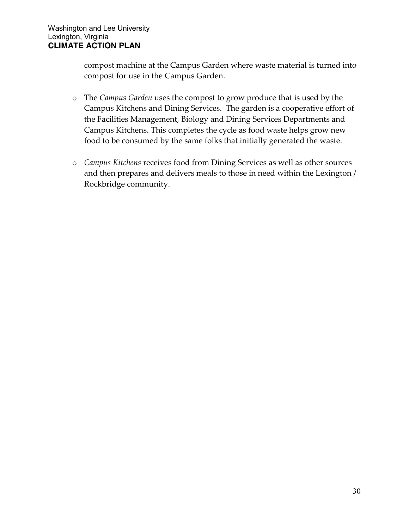compost machine at the Campus Garden where waste material is turned into compost for use in the Campus Garden.

- o The *[Campus Garden](http://www.wlu.edu/x18498.xml)* uses the compost to grow produce that is used by the Campus Kitchens and Dining Services. The garden is a cooperative effort of the Facilities Management, Biology and Dining Services Departments and Campus Kitchens. This completes the cycle as food waste helps grow new food to be consumed by the same folks that initially generated the waste.
- o *[Campus Kitchens](http://www.wlu.edu/x18641.xml)* receives food from Dining Services as well as other sources and then prepares and delivers meals to those in need within the Lexington / Rockbridge community.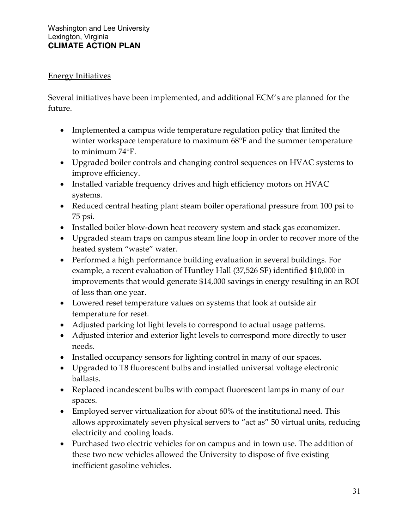## Energy Initiatives

Several initiatives have been implemented, and additional ECM's are planned for the future.

- Implemented a campus wide temperature regulation policy that limited the winter workspace temperature to maximum 68°F and the summer temperature to minimum  $74^{\circ}$ F.
- Upgraded boiler controls and changing control sequences on HVAC systems to improve efficiency.
- Installed variable frequency drives and high efficiency motors on HVAC systems.
- Reduced central heating plant steam boiler operational pressure from 100 psi to 75 psi.
- Installed boiler blow-down heat recovery system and stack gas economizer.
- Upgraded steam traps on campus steam line loop in order to recover more of the heated system "waste" water.
- Performed a high performance building evaluation in several buildings. For example, a recent evaluation of Huntley Hall (37,526 SF) identified \$10,000 in improvements that would generate \$14,000 savings in energy resulting in an ROI of less than one year.
- Lowered reset temperature values on systems that look at outside air temperature for reset.
- Adjusted parking lot light levels to correspond to actual usage patterns.
- Adjusted interior and exterior light levels to correspond more directly to user needs.
- Installed occupancy sensors for lighting control in many of our spaces.
- Upgraded to T8 fluorescent bulbs and installed universal voltage electronic ballasts.
- Replaced incandescent bulbs with compact fluorescent lamps in many of our spaces.
- Employed server virtualization for about 60% of the institutional need. This allows approximately seven physical servers to "act as" 50 virtual units, reducing electricity and cooling loads.
- Purchased two electric vehicles for on campus and in town use. The addition of these two new vehicles allowed the University to dispose of five existing inefficient gasoline vehicles.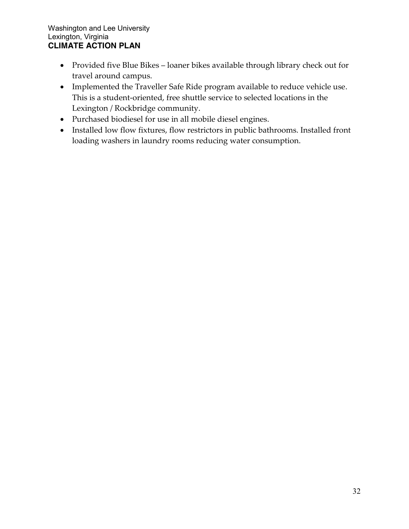- Provided five Blue Bikes loaner bikes available through library check out for travel around campus.
- Implemented the Traveller Safe Ride program available to reduce vehicle use. This is a student-oriented, free shuttle service to selected locations in the Lexington / Rockbridge community.
- Purchased biodiesel for use in all mobile diesel engines.
- Installed low flow fixtures, flow restrictors in public bathrooms. Installed front loading washers in laundry rooms reducing water consumption.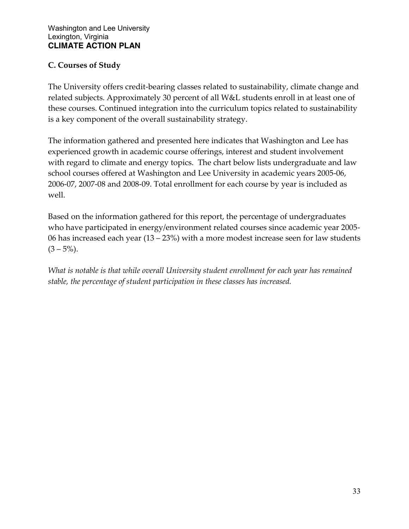# **C. Courses of Study**

The University offers credit-bearing classes related to sustainability, climate change and related subjects. Approximately 30 percent of all W&L students enroll in at least one of these courses. Continued integration into the curriculum topics related to sustainability is a key component of the overall sustainability strategy.

The information gathered and presented here indicates that Washington and Lee has experienced growth in academic course offerings, interest and student involvement with regard to climate and energy topics. The chart below lists undergraduate and law school courses offered at Washington and Lee University in academic years 2005-06, 2006-07, 2007-08 and 2008-09. Total enrollment for each course by year is included as well.

Based on the information gathered for this report, the percentage of undergraduates who have participated in energy/environment related courses since academic year 2005- 06 has increased each year (13 – 23%) with a more modest increase seen for law students  $(3 - 5\%)$ .

*What is notable is that while overall University student enrollment for each year has remained stable, the percentage of student participation in these classes has increased.*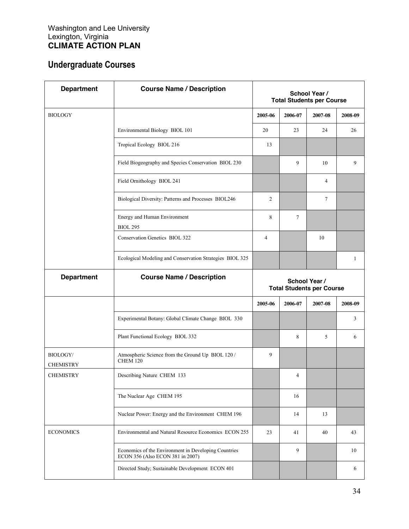# **Undergraduate Courses**

| <b>Department</b>                   | <b>Course Name / Description</b>                                                         | School Year /<br><b>Total Students per Course</b> |         |         |         |
|-------------------------------------|------------------------------------------------------------------------------------------|---------------------------------------------------|---------|---------|---------|
| <b>BIOLOGY</b>                      |                                                                                          | 2005-06                                           | 2006-07 | 2007-08 | 2008-09 |
|                                     | Environmental Biology BIOL 101                                                           | 20                                                | 23      | 24      | 26      |
|                                     | Tropical Ecology BIOL 216                                                                | 13                                                |         |         |         |
|                                     | Field Biogeography and Species Conservation BIOL 230                                     |                                                   | 9       | 10      | 9       |
|                                     | Field Ornithology BIOL 241                                                               |                                                   |         | 4       |         |
|                                     | Biological Diversity: Patterns and Processes BIOL246                                     | 2                                                 |         | 7       |         |
|                                     | Energy and Human Environment<br><b>BIOL 295</b>                                          | 8                                                 | 7       |         |         |
|                                     | Conservation Genetics BIOL 322                                                           | $\overline{4}$                                    |         | 10      |         |
|                                     | Ecological Modeling and Conservation Strategies BIOL 325                                 |                                                   |         |         | 1       |
| <b>Department</b>                   | <b>Course Name / Description</b>                                                         | School Year /<br><b>Total Students per Course</b> |         |         |         |
|                                     |                                                                                          | 2005-06                                           | 2006-07 | 2007-08 | 2008-09 |
|                                     | Experimental Botany: Global Climate Change BIOL 330                                      |                                                   |         |         | 3       |
|                                     | Plant Functional Ecology BIOL 332                                                        |                                                   | 8       | 5       | 6       |
| <b>BIOLOGY/</b><br><b>CHEMISTRY</b> | Atmospheric Science from the Ground Up BIOL 120 /<br><b>CHEM 120</b>                     | 9                                                 |         |         |         |
| <b>CHEMISTRY</b>                    | Describing Nature CHEM 133                                                               |                                                   | 4       |         |         |
|                                     | The Nuclear Age CHEM 195                                                                 |                                                   | 16      |         |         |
|                                     | Nuclear Power: Energy and the Environment CHEM 196                                       |                                                   | 14      | 13      |         |
| <b>ECONOMICS</b>                    | Environmental and Natural Resource Economics ECON 255                                    | 23                                                | 41      | 40      | 43      |
|                                     | Economics of the Environment in Developing Countries<br>ECON 356 (Also ECON 381 in 2007) |                                                   | 9       |         | 10      |
|                                     | Directed Study; Sustainable Development ECON 401                                         |                                                   |         |         | 6       |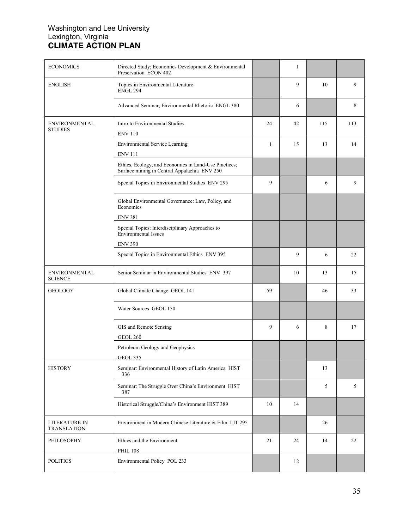| <b>ECONOMICS</b>                       | Directed Study; Economics Development & Environmental<br>Preservation ECON 402                        |    | 1  |     |     |
|----------------------------------------|-------------------------------------------------------------------------------------------------------|----|----|-----|-----|
| <b>ENGLISH</b>                         | Topics in Environmental Literature<br><b>ENGL 294</b>                                                 |    | 9  | 10  | 9   |
|                                        | Advanced Seminar; Environmental Rhetoric ENGL 380                                                     |    | 6  |     | 8   |
| <b>ENVIRONMENTAL</b><br><b>STUDIES</b> | Intro to Environmental Studies<br><b>ENV 110</b>                                                      | 24 | 42 | 115 | 113 |
|                                        | Environmental Service Learning<br><b>ENV 111</b>                                                      | 1  | 15 | 13  | 14  |
|                                        | Ethics, Ecology, and Economics in Land-Use Practices;<br>Surface mining in Central Appalachia ENV 250 |    |    |     |     |
|                                        | Special Topics in Environmental Studies ENV 295                                                       | 9  |    | 6   | 9   |
|                                        | Global Environmental Governance: Law, Policy, and<br>Economics<br><b>ENV 381</b>                      |    |    |     |     |
|                                        | Special Topics: Interdisciplinary Approaches to<br><b>Environmental Issues</b><br><b>ENV 390</b>      |    |    |     |     |
|                                        | Special Topics in Environmental Ethics ENV 395                                                        |    | 9  | 6   | 22  |
| <b>ENVIRONMENTAL</b><br><b>SCIENCE</b> | Senior Seminar in Environmental Studies ENV 397                                                       |    | 10 | 13  | 15  |
| <b>GEOLOGY</b>                         | Global Climate Change GEOL 141                                                                        | 59 |    | 46  | 33  |
|                                        | Water Sources GEOL 150                                                                                |    |    |     |     |
|                                        | GIS and Remote Sensing<br><b>GEOL 260</b>                                                             | 9  | 6  | 8   | 17  |
|                                        | Petroleum Geology and Geophysics<br><b>GEOL 335</b>                                                   |    |    |     |     |
| <b>HISTORY</b>                         | Seminar: Environmental History of Latin America HIST<br>336                                           |    |    | 13  |     |
|                                        | Seminar: The Struggle Over China's Environment HIST<br>387                                            |    |    | 5   | 5   |
|                                        | Historical Struggle/China's Environment HIST 389                                                      | 10 | 14 |     |     |
| LITERATURE IN<br><b>TRANSLATION</b>    | Environment in Modern Chinese Literature & Film LIT 295                                               |    |    | 26  |     |
| PHILOSOPHY                             | Ethics and the Environment<br><b>PHIL 108</b>                                                         | 21 | 24 | 14  | 22  |
| <b>POLITICS</b>                        | Environmental Policy POL 233                                                                          |    | 12 |     |     |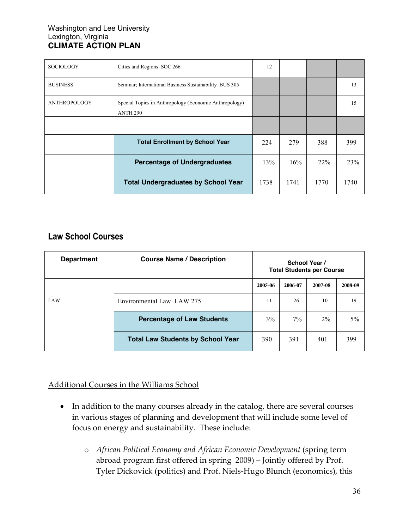| <b>SOCIOLOGY</b>    | Cities and Regions SOC 266                                                | 12   |      |      |      |
|---------------------|---------------------------------------------------------------------------|------|------|------|------|
| <b>BUSINESS</b>     | Seminar; International Business Sustainability BUS 305                    |      |      |      | 13   |
| <b>ANTHROPOLOGY</b> | Special Topics in Anthropology (Economic Anthropology)<br><b>ANTH 290</b> |      |      |      | 15   |
|                     |                                                                           |      |      |      |      |
|                     | <b>Total Enrollment by School Year</b>                                    | 224  | 279  | 388  | 399  |
|                     | <b>Percentage of Undergraduates</b>                                       | 13%  | 16%  | 22%  | 23%  |
|                     | <b>Total Undergraduates by School Year</b>                                | 1738 | 1741 | 1770 | 1740 |

# **Law School Courses**

| <b>Department</b> | <b>Course Name / Description</b>         | School Year /<br><b>Total Students per Course</b> |         |         |         |
|-------------------|------------------------------------------|---------------------------------------------------|---------|---------|---------|
|                   |                                          | 2005-06                                           | 2006-07 | 2007-08 | 2008-09 |
| LAW               | Environmental Law LAW 275                | 11                                                | 26      | 10      | 19      |
|                   | <b>Percentage of Law Students</b>        | 3%                                                | $7\%$   | $2\%$   | $5\%$   |
|                   | <b>Total Law Students by School Year</b> | 390                                               | 391     | 401     | 399     |

Additional Courses in the Williams School

- In addition to the many courses already in the catalog, there are several courses in various stages of planning and development that will include some level of focus on energy and sustainability. These include:
	- o *African Political Economy and African Economic Development* (spring term abroad program first offered in spring 2009) – Jointly offered by Prof. Tyler Dickovick (politics) and Prof. Niels-Hugo Blunch (economics), this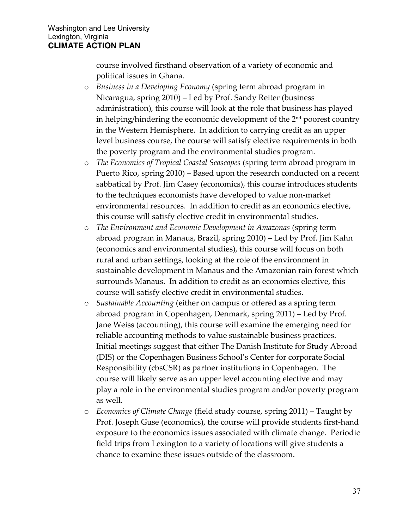course involved firsthand observation of a variety of economic and political issues in Ghana.

- o *Business in a Developing Economy* (spring term abroad program in Nicaragua, spring 2010) – Led by Prof. Sandy Reiter (business administration), this course will look at the role that business has played in helping/hindering the economic development of the 2<sup>nd</sup> poorest country in the Western Hemisphere. In addition to carrying credit as an upper level business course, the course will satisfy elective requirements in both the poverty program and the environmental studies program.
- o *The Economics of Tropical Coastal Seascapes* (spring term abroad program in Puerto Rico, spring 2010) – Based upon the research conducted on a recent sabbatical by Prof. Jim Casey (economics), this course introduces students to the techniques economists have developed to value non-market environmental resources. In addition to credit as an economics elective, this course will satisfy elective credit in environmental studies.
- o *The Environment and Economic Development in Amazonas* (spring term abroad program in Manaus, Brazil, spring 2010) – Led by Prof. Jim Kahn (economics and environmental studies), this course will focus on both rural and urban settings, looking at the role of the environment in sustainable development in Manaus and the Amazonian rain forest which surrounds Manaus. In addition to credit as an economics elective, this course will satisfy elective credit in environmental studies.
- o *Sustainable Accounting* (either on campus or offered as a spring term abroad program in Copenhagen, Denmark, spring 2011) – Led by Prof. Jane Weiss (accounting), this course will examine the emerging need for reliable accounting methods to value sustainable business practices. Initial meetings suggest that either The Danish Institute for Study Abroad (DIS) or the Copenhagen Business School's Center for corporate Social Responsibility (cbsCSR) as partner institutions in Copenhagen. The course will likely serve as an upper level accounting elective and may play a role in the environmental studies program and/or poverty program as well.
- o *Economics of Climate Change* (field study course, spring 2011) Taught by Prof. Joseph Guse (economics), the course will provide students first-hand exposure to the economics issues associated with climate change. Periodic field trips from Lexington to a variety of locations will give students a chance to examine these issues outside of the classroom.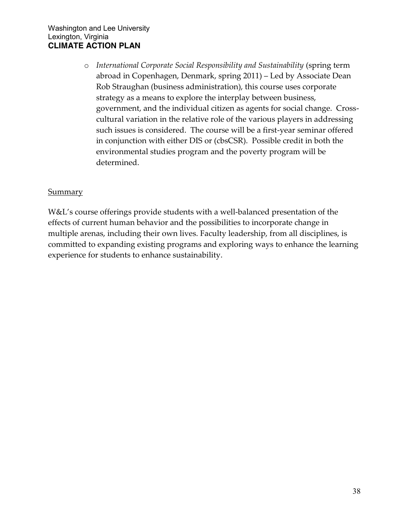o *International Corporate Social Responsibility and Sustainability* (spring term abroad in Copenhagen, Denmark, spring 2011) – Led by Associate Dean Rob Straughan (business administration), this course uses corporate strategy as a means to explore the interplay between business, government, and the individual citizen as agents for social change. Crosscultural variation in the relative role of the various players in addressing such issues is considered. The course will be a first-year seminar offered in conjunction with either DIS or (cbsCSR). Possible credit in both the environmental studies program and the poverty program will be determined.

#### **Summary**

W&L's course offerings provide students with a well-balanced presentation of the effects of current human behavior and the possibilities to incorporate change in multiple arenas, including their own lives. Faculty leadership, from all disciplines, is committed to expanding existing programs and exploring ways to enhance the learning experience for students to enhance sustainability.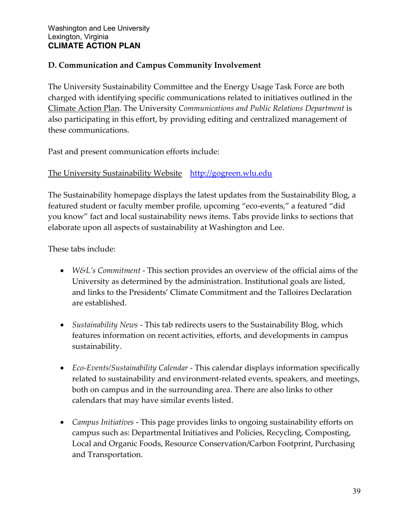## **D. Communication and Campus Community Involvement**

[The University Sustainability Committee](http://www.wlu.edu/x21845.xml) and the Energy Usage Task Force are both charged with identifying specific communications related to initiatives outlined in the Climate Action Plan. The University *[Communications and Public Relations Department](http://www.wlu.edu/x29089.xml)* is also participating in this effort, by providing editing and centralized management of these communications.

Past and present communication efforts include:

#### The University Sustainability Website [http://gogreen.wlu.edu](http://gogreen.wlu.edu/)

The Sustainability homepage displays the latest updates from the Sustainability Blog, a featured student or faculty member profile, upcoming "eco-events," a featured "did you know" fact and local sustainability news items. Tabs provide links to sections that elaborate upon all aspects of sustainability at Washington and Lee.

These tabs include:

- *W&L's Commitment* This section provides an overview of the official aims of the University as determined by the administration. Institutional goals are listed, and links to the Presidents' Climate Commitment and the Talloires Declaration are established.
- *Sustainability News* This tab redirects users to the Sustainability Blog, which features information on recent activities, efforts, and developments in campus sustainability.
- *Eco-Events/Sustainability Calendar* This calendar displays information specifically related to sustainability and environment-related events, speakers, and meetings, both on campus and in the surrounding area. There are also links to other calendars that may have similar events listed.
- *Campus Initiatives* This page provides links to ongoing sustainability efforts on campus such as: Departmental Initiatives and Policies, Recycling, Composting, Local and Organic Foods, Resource Conservation/Carbon Footprint, Purchasing and Transportation.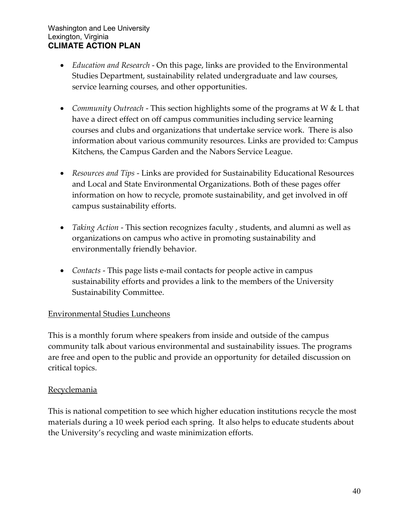- *Education and Research* On this page, links are provided to the Environmental Studies Department, sustainability related undergraduate and law courses, service learning courses, and other opportunities.
- *Community Outreach* This section highlights some of the programs at W & L that have a direct effect on off campus communities including service learning courses and clubs and organizations that undertake service work. There is also information about various community resources. Links are provided to: Campus Kitchens, the Campus Garden and the Nabors Service League.
- *Resources and Tips* Links are provided for Sustainability Educational Resources and Local and State Environmental Organizations. Both of these pages offer information on how to recycle, promote sustainability, and get involved in off campus sustainability efforts.
- *Taking Action* This section recognizes faculty , students, and alumni as well as organizations on campus who active in promoting sustainability and environmentally friendly behavior.
- *Contacts* This page lists e-mail contacts for people active in campus sustainability efforts and provides a link to the members of the University Sustainability Committee.

#### Environmental Studies Luncheons

This is a monthly forum where speakers from inside and outside of the campus community talk about various environmental and sustainability issues. The programs are free and open to the public and provide an opportunity for detailed discussion on critical topics.

#### Recyclemania

This is national competition to see which higher education institutions recycle the most materials during a 10 week period each spring. It also helps to educate students about the University's recycling and waste minimization efforts.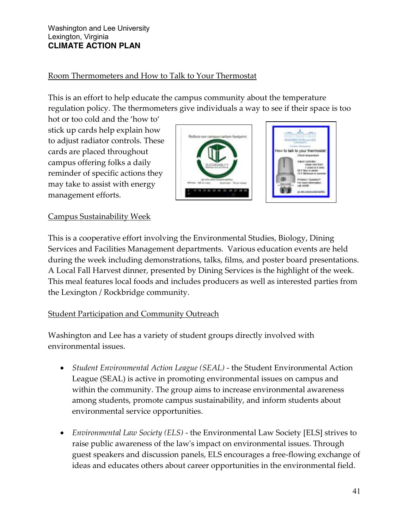# Room Thermometers and How to Talk to Your Thermostat

This is an effort to help educate the campus community about the temperature regulation policy. The thermometers give individuals a way to see if their space is too

hot or too cold and the 'how to' stick up cards help explain how to adjust radiator controls. These cards are placed throughout campus offering folks a daily reminder of specific actions they may take to assist with energy management efforts.





# Campus Sustainability Week

This is a cooperative effort involving the Environmental Studies, Biology, Dining Services and Facilities Management departments. Various education events are held during the week including demonstrations, talks, films, and poster board presentations. A Local Fall Harvest dinner, presented by Dining Services is the highlight of the week. This meal features local foods and includes producers as well as interested parties from the Lexington / Rockbridge community.

# **Student Participation and Community Outreach**

Washington and Lee has a variety of student groups directly involved with environmental issues.

- *Student Environmental Action League (SEAL)* the Student Environmental Action League (SEAL) is active in promoting environmental issues on campus and within the community. The group aims to increase environmental awareness among students, promote campus sustainability, and inform students about environmental service opportunities.
- *Environmental Law Society (ELS)* the Environmental Law Society [ELS] strives to raise public awareness of the law's impact on environmental issues. Through guest speakers and discussion panels, ELS encourages a free-flowing exchange of ideas and educates others about career opportunities in the environmental field.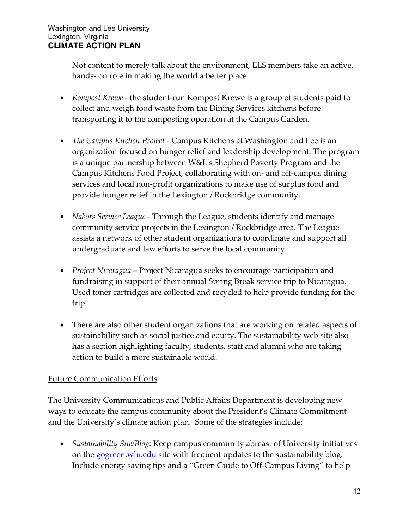Not content to merely talk about the environment, ELS members take an active, hands- on role in making the world a better place

- *Kompost Krewe* the student-run Kompost Krewe is a group of students paid to collect and weigh food waste from the Dining Services kitchens before transporting it to the composting operation at the Campus Garden.
- *The Campus Kitchen Project* Campus Kitchens at Washington and Lee is an organization focused on hunger relief and leadership development. The program is a unique partnership between W&L's Shepherd Poverty Program and the Campus Kitchens Food Project, collaborating with on- and off-campus dining services and local non-profit organizations to make use of surplus food and provide hunger relief in the Lexington / Rockbridge community.
- *Nabors Service League* Through the League, students identify and manage community service projects in the Lexington / Rockbridge area. The League assists a network of other student organizations to coordinate and support all undergraduate and law efforts to serve the local community.
- *Project Nicaragua* Project Nicaragua seeks to encourage participation and fundraising in support of their annual Spring Break service trip to Nicaragua. Used toner cartridges are collected and recycled to help provide funding for the trip.
- There are also [other student organizations](http://www.wlu.edu/x18432.xml) that are working on related aspects of sustainability such as social justice and equity. The sustainability web site also has a section highlighting faculty, students, staff and alumni who are [taking](http://www.wlu.edu/x29895.xml)  [action](http://www.wlu.edu/x29895.xml) to build a more sustainable world.

# Future Communication Efforts

The [University Communications and Public Affairs](http://www.wlu.edu/x29089.xml) Department is developing new ways to educate the campus community about the President's Climate Commitment and the University's climate action plan. Some of the strategies include:

 *Sustainability Site/Blog:* Keep campus community abreast of University initiatives on the<gogreen.wlu.edu> site with frequent updates to the sustainability blog. Include energy saving tips and a "Green Guide to Off-Campus Living" to help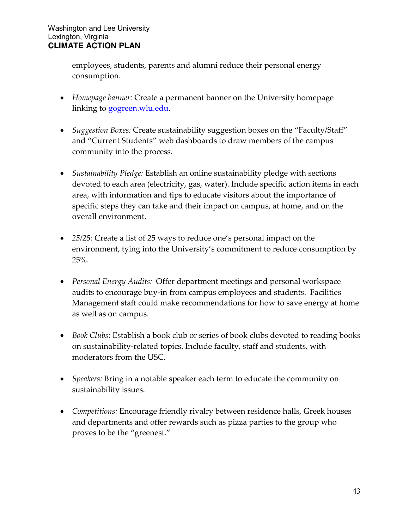employees, students, parents and alumni reduce their personal energy consumption.

- *Homepage banner:* Create a permanent banner on the University homepage linking to [gogreen.wlu.edu.](gogreen.wlu.edu)
- *Suggestion Boxes:* Create sustainability suggestion boxes on the "Faculty/Staff" and "Current Students" web dashboards to draw members of the campus community into the process.
- *Sustainability Pledge:* Establish an online sustainability pledge with sections devoted to each area (electricity, gas, water). Include specific action items in each area, with information and tips to educate visitors about the importance of specific steps they can take and their impact on campus, at home, and on the overall environment.
- *25/25:* Create a list of 25 ways to reduce one's personal impact on the environment, tying into the University's commitment to reduce consumption by 25%.
- *Personal Energy Audits:* Offer department meetings and personal workspace audits to encourage buy-in from campus employees and students. Facilities Management staff could make recommendations for how to save energy at home as well as on campus.
- *Book Clubs:* Establish a book club or series of book clubs devoted to reading books on sustainability-related topics. Include faculty, staff and students, with moderators from the USC.
- *Speakers:* Bring in a notable speaker each term to educate the community on sustainability issues.
- *Competitions:* Encourage friendly rivalry between residence halls, Greek houses and departments and offer rewards such as pizza parties to the group who proves to be the "greenest."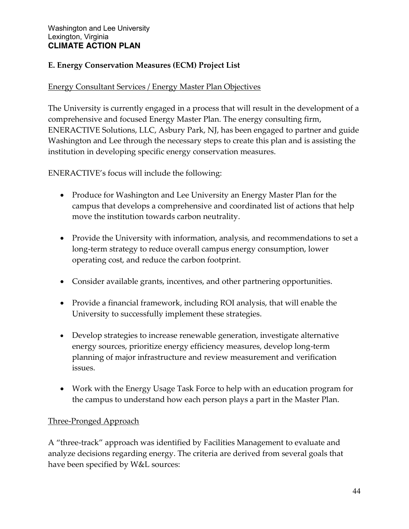# **E. Energy Conservation Measures (ECM) Project List**

## Energy Consultant Services / Energy Master Plan Objectives

The University is currently engaged in a process that will result in the development of a comprehensive and focused Energy Master Plan. The energy consulting firm, ENERACTIVE Solutions, LLC, Asbury Park, NJ, has been engaged to partner and guide Washington and Lee through the necessary steps to create this plan and is assisting the institution in developing specific energy conservation measures.

ENERACTIVE's focus will include the following:

- Produce for Washington and Lee University an Energy Master Plan for the campus that develops a comprehensive and coordinated list of actions that help move the institution towards carbon neutrality.
- Provide the University with information, analysis, and recommendations to set a long-term strategy to reduce overall campus energy consumption, lower operating cost, and reduce the carbon footprint.
- Consider available grants, incentives, and other partnering opportunities.
- Provide a financial framework, including ROI analysis, that will enable the University to successfully implement these strategies.
- Develop strategies to increase renewable generation, investigate alternative energy sources, prioritize energy efficiency measures, develop long-term planning of major infrastructure and review measurement and verification issues.
- Work with the Energy Usage Task Force to help with an education program for the campus to understand how each person plays a part in the Master Plan.

# Three-Pronged Approach

A "three-track" approach was identified by Facilities Management to evaluate and analyze decisions regarding energy. The criteria are derived from several goals that have been specified by W&L sources: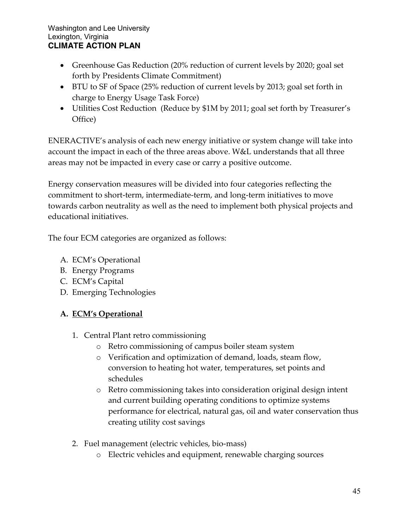- Greenhouse Gas Reduction (20% reduction of current levels by 2020; goal set forth by Presidents Climate Commitment)
- BTU to SF of Space (25% reduction of current levels by 2013; goal set forth in charge to Energy Usage Task Force)
- Utilities Cost Reduction (Reduce by \$1M by 2011; goal set forth by Treasurer's Office)

ENERACTIVE's analysis of each new energy initiative or system change will take into account the impact in each of the three areas above. W&L understands that all three areas may not be impacted in every case or carry a positive outcome.

Energy conservation measures will be divided into four categories reflecting the commitment to short-term, intermediate-term, and long-term initiatives to move towards carbon neutrality as well as the need to implement both physical projects and educational initiatives.

The four ECM categories are organized as follows:

- A. ECM's Operational
- B. Energy Programs
- C. ECM's Capital
- D. Emerging Technologies

# **A. ECM's Operational**

- 1. Central Plant retro commissioning
	- o Retro commissioning of campus boiler steam system
	- o Verification and optimization of demand, loads, steam flow, conversion to heating hot water, temperatures, set points and schedules
	- o Retro commissioning takes into consideration original design intent and current building operating conditions to optimize systems performance for electrical, natural gas, oil and water conservation thus creating utility cost savings
- 2. Fuel management (electric vehicles, bio-mass)
	- o Electric vehicles and equipment, renewable charging sources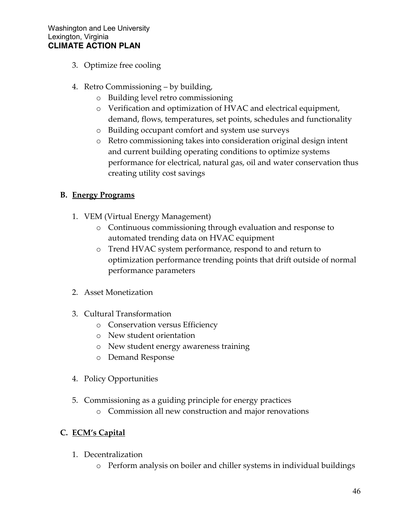- 3. Optimize free cooling
- 4. Retro Commissioning by building,
	- o Building level retro commissioning
	- o Verification and optimization of HVAC and electrical equipment, demand, flows, temperatures, set points, schedules and functionality
	- o Building occupant comfort and system use surveys
	- o Retro commissioning takes into consideration original design intent and current building operating conditions to optimize systems performance for electrical, natural gas, oil and water conservation thus creating utility cost savings

# **B. Energy Programs**

- 1. VEM (Virtual Energy Management)
	- o Continuous commissioning through evaluation and response to automated trending data on HVAC equipment
	- o Trend HVAC system performance, respond to and return to optimization performance trending points that drift outside of normal performance parameters
- 2. Asset Monetization
- 3. Cultural Transformation
	- o Conservation versus Efficiency
	- o New student orientation
	- o New student energy awareness training
	- o Demand Response
- 4. Policy Opportunities
- 5. Commissioning as a guiding principle for energy practices
	- o Commission all new construction and major renovations

# **C. ECM's Capital**

- 1. Decentralization
	- o Perform analysis on boiler and chiller systems in individual buildings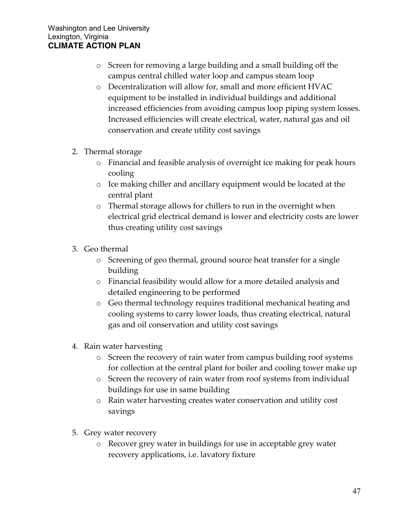- o Screen for removing a large building and a small building off the campus central chilled water loop and campus steam loop
- o Decentralization will allow for, small and more efficient HVAC equipment to be installed in individual buildings and additional increased efficiencies from avoiding campus loop piping system losses. Increased efficiencies will create electrical, water, natural gas and oil conservation and create utility cost savings
- 2. Thermal storage
	- o Financial and feasible analysis of overnight ice making for peak hours cooling
	- o Ice making chiller and ancillary equipment would be located at the central plant
	- o Thermal storage allows for chillers to run in the overnight when electrical grid electrical demand is lower and electricity costs are lower thus creating utility cost savings
- 3. Geo thermal
	- o Screening of geo thermal, ground source heat transfer for a single building
	- o Financial feasibility would allow for a more detailed analysis and detailed engineering to be performed
	- o Geo thermal technology requires traditional mechanical heating and cooling systems to carry lower loads, thus creating electrical, natural gas and oil conservation and utility cost savings
- 4. Rain water harvesting
	- o Screen the recovery of rain water from campus building roof systems for collection at the central plant for boiler and cooling tower make up
	- o Screen the recovery of rain water from roof systems from individual buildings for use in same building
	- o Rain water harvesting creates water conservation and utility cost savings
- 5. Grey water recovery
	- o Recover grey water in buildings for use in acceptable grey water recovery applications, i.e. lavatory fixture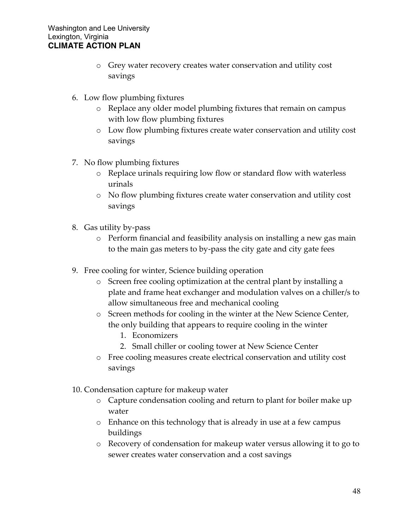- o Grey water recovery creates water conservation and utility cost savings
- 6. Low flow plumbing fixtures
	- o Replace any older model plumbing fixtures that remain on campus with low flow plumbing fixtures
	- o Low flow plumbing fixtures create water conservation and utility cost savings
- 7. No flow plumbing fixtures
	- o Replace urinals requiring low flow or standard flow with waterless urinals
	- o No flow plumbing fixtures create water conservation and utility cost savings
- 8. Gas utility by-pass
	- o Perform financial and feasibility analysis on installing a new gas main to the main gas meters to by-pass the city gate and city gate fees
- 9. Free cooling for winter, Science building operation
	- o Screen free cooling optimization at the central plant by installing a plate and frame heat exchanger and modulation valves on a chiller/s to allow simultaneous free and mechanical cooling
	- o Screen methods for cooling in the winter at the New Science Center, the only building that appears to require cooling in the winter
		- 1. Economizers
		- 2. Small chiller or cooling tower at New Science Center
	- o Free cooling measures create electrical conservation and utility cost savings
- 10. Condensation capture for makeup water
	- o Capture condensation cooling and return to plant for boiler make up water
	- o Enhance on this technology that is already in use at a few campus buildings
	- o Recovery of condensation for makeup water versus allowing it to go to sewer creates water conservation and a cost savings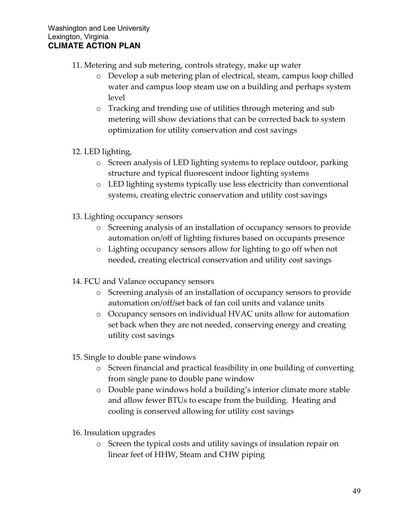- 11. Metering and sub metering, controls strategy, make up water
	- o Develop a sub metering plan of electrical, steam, campus loop chilled water and campus loop steam use on a building and perhaps system level
	- o Tracking and trending use of utilities through metering and sub metering will show deviations that can be corrected back to system optimization for utility conservation and cost savings
- 12. LED lighting,
	- o Screen analysis of LED lighting systems to replace outdoor, parking structure and typical fluorescent indoor lighting systems
	- o LED lighting systems typically use less electricity than conventional systems, creating electric conservation and utility cost savings
- 13. Lighting occupancy sensors
	- o Screening analysis of an installation of occupancy sensors to provide automation on/off of lighting fixtures based on occupants presence
	- o Lighting occupancy sensors allow for lighting to go off when not needed, creating electrical conservation and utility cost savings
- 14. FCU and Valance occupancy sensors
	- o Screening analysis of an installation of occupancy sensors to provide automation on/off/set back of fan coil units and valance units
	- o Occupancy sensors on individual HVAC units allow for automation set back when they are not needed, conserving energy and creating utility cost savings
- 15. Single to double pane windows
	- o Screen financial and practical feasibility in one building of converting from single pane to double pane window
	- o Double pane windows hold a building's interior climate more stable and allow fewer BTUs to escape from the building. Heating and cooling is conserved allowing for utility cost savings
- 16. Insulation upgrades
	- o Screen the typical costs and utility savings of insulation repair on linear feet of HHW, Steam and CHW piping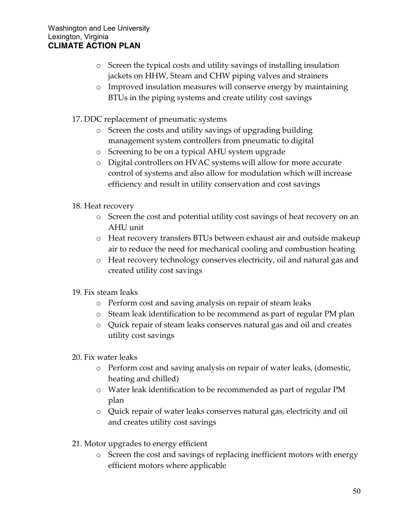- o Screen the typical costs and utility savings of installing insulation jackets on HHW, Steam and CHW piping valves and strainers
- o Improved insulation measures will conserve energy by maintaining BTUs in the piping systems and create utility cost savings
- 17. DDC replacement of pneumatic systems
	- o Screen the costs and utility savings of upgrading building management system controllers from pneumatic to digital
	- o Screening to be on a typical AHU system upgrade
	- o Digital controllers on HVAC systems will allow for more accurate control of systems and also allow for modulation which will increase efficiency and result in utility conservation and cost savings
- 18. Heat recovery
	- o Screen the cost and potential utility cost savings of heat recovery on an AHU unit
	- o Heat recovery transfers BTUs between exhaust air and outside makeup air to reduce the need for mechanical cooling and combustion heating
	- o Heat recovery technology conserves electricity, oil and natural gas and created utility cost savings
- 19. Fix steam leaks
	- o Perform cost and saving analysis on repair of steam leaks
	- o Steam leak identification to be recommend as part of regular PM plan
	- o Quick repair of steam leaks conserves natural gas and oil and creates utility cost savings
- 20. Fix water leaks
	- o Perform cost and saving analysis on repair of water leaks, (domestic, heating and chilled)
	- o Water leak identification to be recommended as part of regular PM plan
	- o Quick repair of water leaks conserves natural gas, electricity and oil and creates utility cost savings
- 21. Motor upgrades to energy efficient
	- o Screen the cost and savings of replacing inefficient motors with energy efficient motors where applicable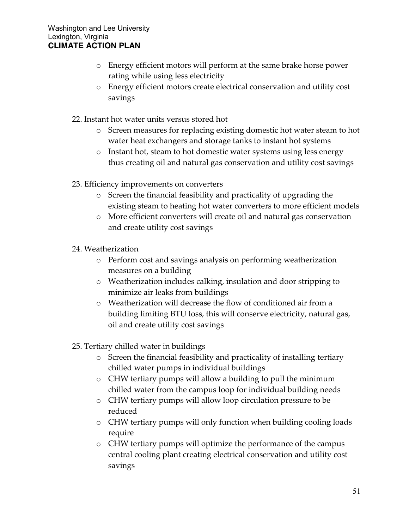- o Energy efficient motors will perform at the same brake horse power rating while using less electricity
- o Energy efficient motors create electrical conservation and utility cost savings
- 22. Instant hot water units versus stored hot
	- o Screen measures for replacing existing domestic hot water steam to hot water heat exchangers and storage tanks to instant hot systems
	- o Instant hot, steam to hot domestic water systems using less energy thus creating oil and natural gas conservation and utility cost savings
- 23. Efficiency improvements on converters
	- o Screen the financial feasibility and practicality of upgrading the existing steam to heating hot water converters to more efficient models
	- o More efficient converters will create oil and natural gas conservation and create utility cost savings
- 24. Weatherization
	- o Perform cost and savings analysis on performing weatherization measures on a building
	- o Weatherization includes calking, insulation and door stripping to minimize air leaks from buildings
	- o Weatherization will decrease the flow of conditioned air from a building limiting BTU loss, this will conserve electricity, natural gas, oil and create utility cost savings
- 25. Tertiary chilled water in buildings
	- o Screen the financial feasibility and practicality of installing tertiary chilled water pumps in individual buildings
	- o CHW tertiary pumps will allow a building to pull the minimum chilled water from the campus loop for individual building needs
	- o CHW tertiary pumps will allow loop circulation pressure to be reduced
	- o CHW tertiary pumps will only function when building cooling loads require
	- o CHW tertiary pumps will optimize the performance of the campus central cooling plant creating electrical conservation and utility cost savings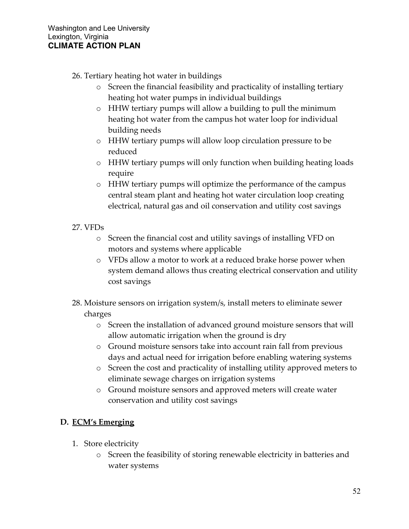26. Tertiary heating hot water in buildings

- o Screen the financial feasibility and practicality of installing tertiary heating hot water pumps in individual buildings
- o HHW tertiary pumps will allow a building to pull the minimum heating hot water from the campus hot water loop for individual building needs
- o HHW tertiary pumps will allow loop circulation pressure to be reduced
- o HHW tertiary pumps will only function when building heating loads require
- o HHW tertiary pumps will optimize the performance of the campus central steam plant and heating hot water circulation loop creating electrical, natural gas and oil conservation and utility cost savings
- 27. VFDs
	- o Screen the financial cost and utility savings of installing VFD on motors and systems where applicable
	- o VFDs allow a motor to work at a reduced brake horse power when system demand allows thus creating electrical conservation and utility cost savings
- 28. Moisture sensors on irrigation system/s, install meters to eliminate sewer charges
	- o Screen the installation of advanced ground moisture sensors that will allow automatic irrigation when the ground is dry
	- o Ground moisture sensors take into account rain fall from previous days and actual need for irrigation before enabling watering systems
	- o Screen the cost and practicality of installing utility approved meters to eliminate sewage charges on irrigation systems
	- o Ground moisture sensors and approved meters will create water conservation and utility cost savings

# **D. ECM's Emerging**

- 1. Store electricity
	- o Screen the feasibility of storing renewable electricity in batteries and water systems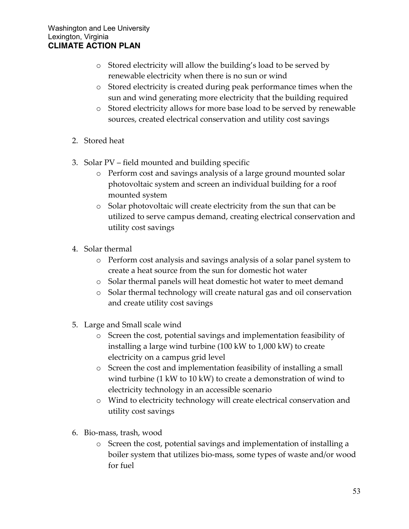- o Stored electricity will allow the building's load to be served by renewable electricity when there is no sun or wind
- o Stored electricity is created during peak performance times when the sun and wind generating more electricity that the building required
- o Stored electricity allows for more base load to be served by renewable sources, created electrical conservation and utility cost savings
- 2. Stored heat
- 3. Solar PV field mounted and building specific
	- o Perform cost and savings analysis of a large ground mounted solar photovoltaic system and screen an individual building for a roof mounted system
	- o Solar photovoltaic will create electricity from the sun that can be utilized to serve campus demand, creating electrical conservation and utility cost savings
- 4. Solar thermal
	- o Perform cost analysis and savings analysis of a solar panel system to create a heat source from the sun for domestic hot water
	- o Solar thermal panels will heat domestic hot water to meet demand
	- o Solar thermal technology will create natural gas and oil conservation and create utility cost savings
- 5. Large and Small scale wind
	- o Screen the cost, potential savings and implementation feasibility of installing a large wind turbine (100 kW to 1,000 kW) to create electricity on a campus grid level
	- o Screen the cost and implementation feasibility of installing a small wind turbine (1 kW to 10 kW) to create a demonstration of wind to electricity technology in an accessible scenario
	- o Wind to electricity technology will create electrical conservation and utility cost savings
- 6. Bio-mass, trash, wood
	- o Screen the cost, potential savings and implementation of installing a boiler system that utilizes bio-mass, some types of waste and/or wood for fuel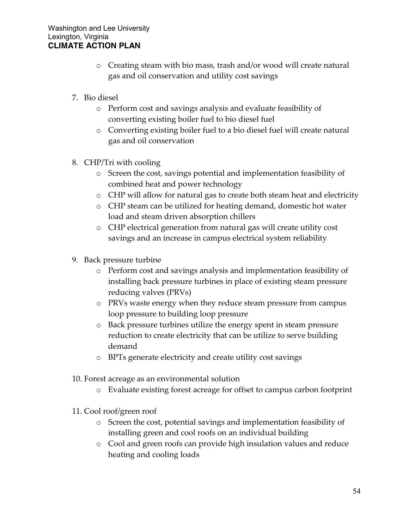- o Creating steam with bio mass, trash and/or wood will create natural gas and oil conservation and utility cost savings
- 7. Bio diesel
	- o Perform cost and savings analysis and evaluate feasibility of converting existing boiler fuel to bio diesel fuel
	- o Converting existing boiler fuel to a bio diesel fuel will create natural gas and oil conservation
- 8. CHP/Tri with cooling
	- o Screen the cost, savings potential and implementation feasibility of combined heat and power technology
	- o CHP will allow for natural gas to create both steam heat and electricity
	- o CHP steam can be utilized for heating demand, domestic hot water load and steam driven absorption chillers
	- o CHP electrical generation from natural gas will create utility cost savings and an increase in campus electrical system reliability
- 9. Back pressure turbine
	- o Perform cost and savings analysis and implementation feasibility of installing back pressure turbines in place of existing steam pressure reducing valves (PRVs)
	- o PRVs waste energy when they reduce steam pressure from campus loop pressure to building loop pressure
	- o Back pressure turbines utilize the energy spent in steam pressure reduction to create electricity that can be utilize to serve building demand
	- o BPTs generate electricity and create utility cost savings
- 10. Forest acreage as an environmental solution
	- o Evaluate existing forest acreage for offset to campus carbon footprint
- 11. Cool roof/green roof
	- o Screen the cost, potential savings and implementation feasibility of installing green and cool roofs on an individual building
	- o Cool and green roofs can provide high insulation values and reduce heating and cooling loads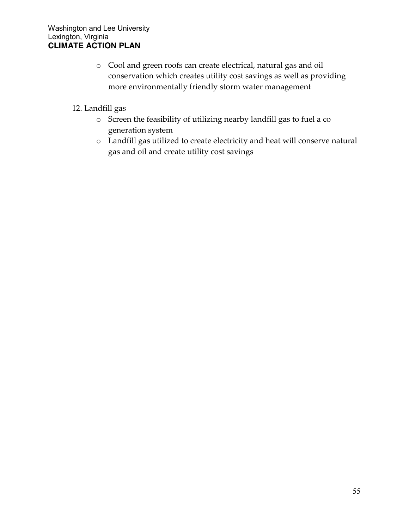- o Cool and green roofs can create electrical, natural gas and oil conservation which creates utility cost savings as well as providing more environmentally friendly storm water management
- 12. Landfill gas
	- o Screen the feasibility of utilizing nearby landfill gas to fuel a co generation system
	- o Landfill gas utilized to create electricity and heat will conserve natural gas and oil and create utility cost savings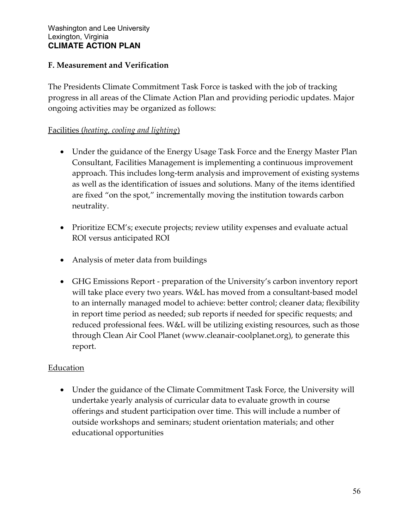## **F. Measurement and Verification**

The Presidents Climate Commitment Task Force is tasked with the job of tracking progress in all areas of the Climate Action Plan and providing periodic updates. Major ongoing activities may be organized as follows:

## Facilities (*heating, cooling and lighting*)

- Under the guidance of the Energy Usage Task Force and the Energy Master Plan Consultant, Facilities Management is implementing a continuous improvement approach. This includes long-term analysis and improvement of existing systems as well as the identification of issues and solutions. Many of the items identified are fixed "on the spot," incrementally moving the institution towards carbon neutrality.
- Prioritize ECM's; execute projects; review utility expenses and evaluate actual ROI versus anticipated ROI
- Analysis of meter data from buildings
- GHG Emissions Report preparation of the University's carbon inventory report will take place every two years. W&L has moved from a consultant-based model to an internally managed model to achieve: better control; cleaner data; flexibility in report time period as needed; sub reports if needed for specific requests; and reduced professional fees. W&L will be utilizing existing resources, such as those through Clean Air Cool Planet (www.cleanair-coolplanet.org), to generate this report.

#### Education

 Under the guidance of the Climate Commitment Task Force, the University will undertake yearly analysis of curricular data to evaluate growth in course offerings and student participation over time. This will include a number of outside workshops and seminars; student orientation materials; and other educational opportunities